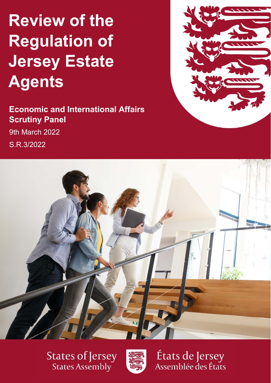# $H$ ew of the  $R$ **Review of the Regulation of Jersey Estate Agents**

**Economic and International Affairs Scrutiny Panel**  9th March 2022 S.R.3/2022





**States of Jersey** States Assembly



États de Jersey<br>Assemblée des États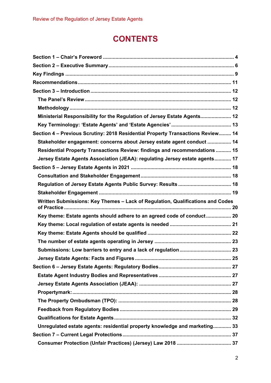# **CONTENTS**

| Ministerial Responsibility for the Regulation of Jersey Estate Agents 12        |  |
|---------------------------------------------------------------------------------|--|
|                                                                                 |  |
| Section 4 - Previous Scrutiny: 2018 Residential Property Transactions Review 14 |  |
| Stakeholder engagement: concerns about Jersey estate agent conduct  14          |  |
| Residential Property Transactions Review: findings and recommendations  15      |  |
| Jersey Estate Agents Association (JEAA): regulating Jersey estate agents 17     |  |
|                                                                                 |  |
|                                                                                 |  |
|                                                                                 |  |
|                                                                                 |  |
| Written Submissions: Key Themes - Lack of Regulation, Qualifications and Codes  |  |
|                                                                                 |  |
| Key theme: Estate agents should adhere to an agreed code of conduct 20          |  |
|                                                                                 |  |
|                                                                                 |  |
|                                                                                 |  |
|                                                                                 |  |
|                                                                                 |  |
|                                                                                 |  |
|                                                                                 |  |
|                                                                                 |  |
|                                                                                 |  |
|                                                                                 |  |
|                                                                                 |  |
|                                                                                 |  |
| Unregulated estate agents: residential property knowledge and marketing 33      |  |
|                                                                                 |  |
|                                                                                 |  |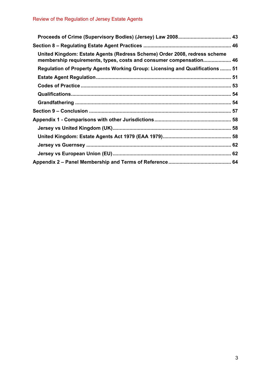| United Kingdom: Estate Agents (Redress Scheme) Order 2008, redress scheme<br>membership requirements, types, costs and consumer compensation 46 |  |
|-------------------------------------------------------------------------------------------------------------------------------------------------|--|
| Regulation of Property Agents Working Group: Licensing and Qualifications  51                                                                   |  |
|                                                                                                                                                 |  |
|                                                                                                                                                 |  |
|                                                                                                                                                 |  |
|                                                                                                                                                 |  |
|                                                                                                                                                 |  |
|                                                                                                                                                 |  |
|                                                                                                                                                 |  |
|                                                                                                                                                 |  |
|                                                                                                                                                 |  |
|                                                                                                                                                 |  |
|                                                                                                                                                 |  |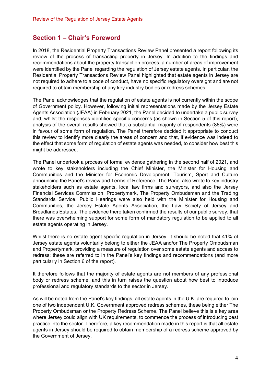## **Section 1 – Chair's Foreword**

In 2018, the Residential Property Transactions Review Panel presented a report following its review of the process of transacting property in Jersey. In addition to the findings and recommendations about the property transaction process, a number of areas of improvement were identified by the Panel regarding the regulation of Jersey estate agents. In particular, the Residential Property Transactions Review Panel highlighted that estate agents in Jersey are not required to adhere to a code of conduct, have no specific regulatory oversight and are not required to obtain membership of any key industry bodies or redress schemes.

The Panel acknowledges that the regulation of estate agents is not currently within the scope of Government policy. However, following initial representations made by the Jersey Estate Agents Association (JEAA) in February 2021, the Panel decided to undertake a public survey and, whilst the responses identified specific concerns (as shown in Section 5 of this report), analysis of the overall results showed that a substantial majority of respondents (86%) were in favour of some form of regulation. The Panel therefore decided it appropriate to conduct this review to identify more clearly the areas of concern and that, if evidence was indeed to the effect that some form of regulation of estate agents was needed, to consider how best this might be addressed.

The Panel undertook a process of formal evidence gathering in the second half of 2021, and wrote to key stakeholders including the Chief Minister, the Minister for Housing and Communities and the Minister for Economic Development, Tourism, Sport and Culture announcing the Panel's review and Terms of Reference. The Panel also wrote to key industry stakeholders such as estate agents, local law firms and surveyors, and also the Jersey Financial Services Commission, Propertymark, The Property Ombudsman and the Trading Standards Service. Public Hearings were also held with the Minister for Housing and Communities, the Jersey Estate Agents Association, the Law Society of Jersey and Broadlands Estates. The evidence there taken confirmed the results of our public survey, that there was overwhelming support for some form of mandatory regulation to be applied to all estate agents operating in Jersey.

Whilst there is no estate agent-specific regulation in Jersey, it should be noted that 41% of Jersey estate agents voluntarily belong to either the JEAA and/or The Property Ombudsman and Propertymark, providing a measure of regulation over some estate agents and access to redress; these are referred to in the Panel's key findings and recommendations (and more particularly in Section 6 of the report).

It therefore follows that the majority of estate agents are not members of any professional body or redress scheme, and this in turn raises the question about how best to introduce professional and regulatory standards to the sector in Jersey.

As will be noted from the Panel's key findings, all estate agents in the U.K. are required to join one of two independent U.K. Government approved redress schemes, these being either The Property Ombudsman or the Property Redress Scheme. The Panel believe this is a key area where Jersey could align with UK requirements, to commence the process of introducing best practice into the sector. Therefore, a key recommendation made in this report is that all estate agents in Jersey should be required to obtain membership of a redress scheme approved by the Government of Jersey.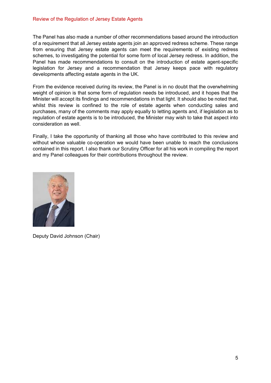#### Review of the Regulation of Jersey Estate Agents

The Panel has also made a number of other recommendations based around the introduction of a requirement that all Jersey estate agents join an approved redress scheme. These range from ensuring that Jersey estate agents can meet the requirements of existing redress schemes, to investigating the potential for some form of local Jersey redress. In addition, the Panel has made recommendations to consult on the introduction of estate agent-specific legislation for Jersey and a recommendation that Jersey keeps pace with regulatory developments affecting estate agents in the UK.

From the evidence received during its review, the Panel is in no doubt that the overwhelming weight of opinion is that some form of regulation needs be introduced, and it hopes that the Minister will accept its findings and recommendations in that light. It should also be noted that, whilst this review is confined to the role of estate agents when conducting sales and purchases, many of the comments may apply equally to letting agents and, if legislation as to regulation of estate agents is to be introduced, the Minister may wish to take that aspect into consideration as well.

Finally, I take the opportunity of thanking all those who have contributed to this review and without whose valuable co-operation we would have been unable to reach the conclusions contained in this report. I also thank our Scrutiny Officer for all his work in compiling the report and my Panel colleagues for their contributions throughout the review.



Deputy David Johnson (Chair)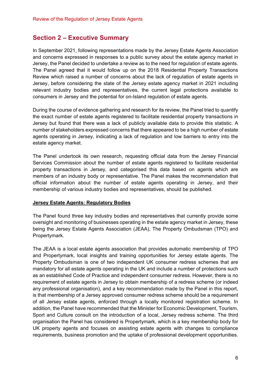## **Section 2 – Executive Summary**

In September 2021, following representations made by the Jersey Estate Agents Association and concerns expressed in responses to a public survey about the estate agency market in Jersey, the Panel decided to undertake a review as to the need for regulation of estate agents. The Panel agreed that it would follow up on the 2018 Residential Property Transactions Review which raised a number of concerns about the lack of regulation of estate agents in Jersey, before considering the state of the Jersey estate agency market in 2021 including relevant industry bodies and representatives, the current legal protections available to consumers in Jersey and the potential for on-Island regulation of estate agents.

During the course of evidence gathering and research for its review, the Panel tried to quantify the exact number of estate agents registered to facilitate residential property transactions in Jersey but found that there was a lack of publicly available data to provide this statistic. A number of stakeholders expressed concerns that there appeared to be a high number of estate agents operating in Jersey, indicating a lack of regulation and low barriers to entry into the estate agency market.

The Panel undertook its own research, requesting official data from the Jersey Financial Services Commission about the number of estate agents registered to facilitate residential property transactions in Jersey, and categorised this data based on agents which are members of an industry body or representative. The Panel makes the recommendation that official information about the number of estate agents operating in Jersey, and their membership of various industry bodies and representatives, should be published.

#### **Jersey Estate Agents: Regulatory Bodies**

The Panel found three key industry bodies and representatives that currently provide some oversight and monitoring of businesses operating in the estate agency market in Jersey, these being the Jersey Estate Agents Association (JEAA), The Property Ombudsman (TPO) and Propertymark.

The JEAA is a local estate agents association that provides automatic membership of TPO and Propertymark, local insights and training opportunities for Jersey estate agents. The Property Ombudsman is one of two independent UK consumer redress schemes that are mandatory for all estate agents operating in the UK and include a number of protections such as an established Code of Practice and independent consumer redress. However, there is no requirement of estate agents in Jersey to obtain membership of a redress scheme (or indeed any professional organisation), and a key recommendation made by the Panel in this report, is that membership of a Jersey approved consumer redress scheme should be a requirement of all Jersey estate agents, enforced through a locally monitored registration scheme. In addition, the Panel have recommended that the Minister for Economic Development, Tourism, Sport and Culture consult on the introduction of a local, Jersey redress scheme. The third organisation the Panel has considered is Propertymark, which is a key membership body for UK property agents and focuses on assisting estate agents with changes to compliance requirements, business promotion and the uptake of professional development opportunities.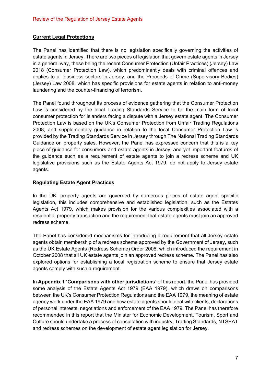## **Current Legal Protections**

The Panel has identified that there is no legislation specifically governing the activities of estate agents in Jersey. There are two pieces of legislation that govern estate agents in Jersey in a general way, these being the recent Consumer Protection (Unfair Practices) (Jersey) Law 2018 (Consumer Protection Law), which predominantly deals with criminal offences and applies to all business sectors in Jersey, and the Proceeds of Crime (Supervisory Bodies) (Jersey) Law 2008, which has specific provisions for estate agents in relation to anti-money laundering and the counter-financing of terrorism.

The Panel found throughout its process of evidence gathering that the Consumer Protection Law is considered by the local Trading Standards Service to be the main form of local consumer protection for Islanders facing a dispute with a Jersey estate agent. The Consumer Protection Law is based on the UK's Consumer Protection from Unfair Trading Regulations 2008, and supplementary guidance in relation to the local Consumer Protection Law is provided by the Trading Standards Service in Jersey through The National Trading Standards Guidance on property sales. However, the Panel has expressed concern that this is a key piece of guidance for consumers and estate agents in Jersey, and yet important features of the guidance such as a requirement of estate agents to join a redress scheme and UK legislative provisions such as the Estate Agents Act 1979, do not apply to Jersey estate agents.

## **Regulating Estate Agent Practices**

In the UK, property agents are governed by numerous pieces of estate agent specific legislation, this includes comprehensive and established legislation; such as the Estates Agents Act 1979, which makes provision for the various complexities associated with a residential property transaction and the requirement that estate agents must join an approved redress scheme.

The Panel has considered mechanisms for introducing a requirement that all Jersey estate agents obtain membership of a redress scheme approved by the Government of Jersey, such as the UK Estate Agents (Redress Scheme) Order 2008, which introduced the requirement in October 2008 that all UK estate agents join an approved redress scheme. The Panel has also explored options for establishing a local registration scheme to ensure that Jersey estate agents comply with such a requirement.

In **Appendix 1 'Comparisons with other jurisdictions'** of this report, the Panel has provided some analysis of the Estate Agents Act 1979 (EAA 1979), which draws on comparisons between the UK's Consumer Protection Regulations and the EAA 1979, the meaning of estate agency work under the EAA 1979 and how estate agents should deal with clients, declarations of personal interests, negotiations and enforcement of the EAA 1979. The Panel has therefore recommended in this report that the Minister for Economic Development, Tourism, Sport and Culture should undertake a process of consultation with industry, Trading Standards, NTSEAT and redress schemes on the development of estate agent legislation for Jersey.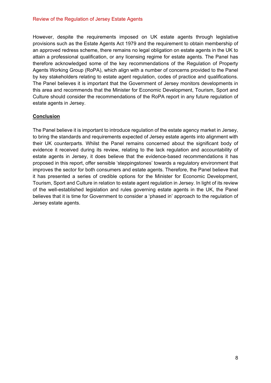#### Review of the Regulation of Jersey Estate Agents

However, despite the requirements imposed on UK estate agents through legislative provisions such as the Estate Agents Act 1979 and the requirement to obtain membership of an approved redress scheme, there remains no legal obligation on estate agents in the UK to attain a professional qualification, or any licensing regime for estate agents. The Panel has therefore acknowledged some of the key recommendations of the Regulation of Property Agents Working Group (RoPA), which align with a number of concerns provided to the Panel by key stakeholders relating to estate agent regulation, codes of practice and qualifications. The Panel believes it is important that the Government of Jersey monitors developments in this area and recommends that the Minister for Economic Development, Tourism, Sport and Culture should consider the recommendations of the RoPA report in any future regulation of estate agents in Jersey.

#### **Conclusion**

The Panel believe it is important to introduce regulation of the estate agency market in Jersey, to bring the standards and requirements expected of Jersey estate agents into alignment with their UK counterparts. Whilst the Panel remains concerned about the significant body of evidence it received during its review, relating to the lack regulation and accountability of estate agents in Jersey, it does believe that the evidence-based recommendations it has proposed in this report, offer sensible 'steppingstones' towards a regulatory environment that improves the sector for both consumers and estate agents. Therefore, the Panel believe that it has presented a series of credible options for the Minister for Economic Development, Tourism, Sport and Culture in relation to estate agent regulation in Jersey. In light of its review of the well-established legislation and rules governing estate agents in the UK, the Panel believes that it is time for Government to consider a 'phased in' approach to the regulation of Jersey estate agents.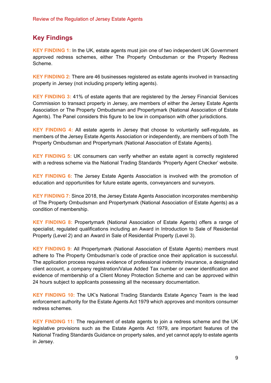## **Key Findings**

**KEY FINDING 1:** In the UK, estate agents must join one of two independent UK Government approved redress schemes, either The Property Ombudsman or the Property Redress Scheme.

**KEY FINDING 2:** There are 46 businesses registered as estate agents involved in transacting property in Jersey (not including property letting agents).

**KEY FINDING 3:** 41% of estate agents that are registered by the Jersey Financial Services Commission to transact property in Jersey, are members of either the Jersey Estate Agents Association or The Property Ombudsman and Propertymark (National Association of Estate Agents). The Panel considers this figure to be low in comparison with other jurisdictions.

**KEY FINDING 4:** All estate agents in Jersey that choose to voluntarily self-regulate, as members of the Jersey Estate Agents Association or independently, are members of both The Property Ombudsman and Propertymark (National Association of Estate Agents).

**KEY FINDING 5:** UK consumers can verify whether an estate agent is correctly registered with a redress scheme via the National Trading Standards 'Property Agent Checker' website.

**KEY FINDING 6:** The Jersey Estate Agents Association is involved with the promotion of education and opportunities for future estate agents, conveyancers and surveyors.

**KEY FINDING 7:** Since 2018, the Jersey Estate Agents Association incorporates membership of The Property Ombudsman and Propertymark (National Association of Estate Agents) as a condition of membership.

**KEY FINDING 8:** Propertymark (National Association of Estate Agents) offers a range of specialist, regulated qualifications including an Award in Introduction to Sale of Residential Property (Level 2) and an Award in Sale of Residential Property (Level 3).

**KEY FINDING 9:** All Propertymark (National Association of Estate Agents) members must adhere to The Property Ombudsman's code of practice once their application is successful. The application process requires evidence of professional indemnity insurance, a designated client account, a company registration/Value Added Tax number or owner identification and evidence of membership of a Client Money Protection Scheme and can be approved within 24 hours subject to applicants possessing all the necessary documentation.

**KEY FINDING 10:** The UK's National Trading Standards Estate Agency Team is the lead enforcement authority for the Estate Agents Act 1979 which approves and monitors consumer redress schemes.

**KEY FINDING 11:** The requirement of estate agents to join a redress scheme and the UK legislative provisions such as the Estate Agents Act 1979, are important features of the National Trading Standards Guidance on property sales, and yet cannot apply to estate agents in Jersey.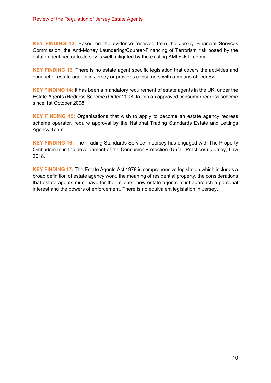**KEY FINDING 12:** Based on the evidence received from the Jersey Financial Services Commission, the Anti-Money Laundering/Counter-Financing of Terrorism risk posed by the estate agent sector to Jersey is well mitigated by the existing AML/CFT regime.

**KEY FINDING 13**: There is no estate agent specific legislation that covers the activities and conduct of estate agents in Jersey or provides consumers with a means of redress.

**KEY FINDING 14:** It has been a mandatory requirement of estate agents in the UK, under the Estate Agents (Redress Scheme) Order 2008, to join an approved consumer redress scheme since 1st October 2008.

**KEY FINDING 15:** Organisations that wish to apply to become an estate agency redress scheme operator, require approval by the National Trading Standards Estate and Lettings Agency Team.

**KEY FINDING 16:** The Trading Standards Service in Jersey has engaged with The Property Ombudsman in the development of the Consumer Protection (Unfair Practices) (Jersey) Law 2018.

**KEY FINDING 17:** The Estate Agents Act 1979 is comprehensive legislation which includes a broad definition of estate agency work, the meaning of residential property, the considerations that estate agents must have for their clients, how estate agents must approach a personal interest and the powers of enforcement. There is no equivalent legislation in Jersey.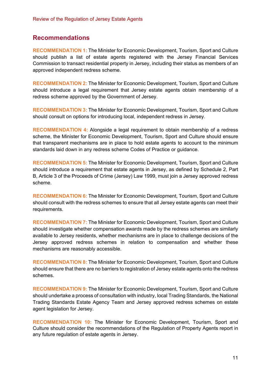## **Recommendations**

**RECOMMENDATION 1:** The Minister for Economic Development, Tourism, Sport and Culture should publish a list of estate agents registered with the Jersey Financial Services Commission to transact residential property in Jersey, including their status as members of an approved independent redress scheme.

**RECOMMENDATION 2:** The Minister for Economic Development, Tourism, Sport and Culture should introduce a legal requirement that Jersey estate agents obtain membership of a redress scheme approved by the Government of Jersey.

**RECOMMENDATION 3:** The Minister for Economic Development, Tourism, Sport and Culture should consult on options for introducing local, independent redress in Jersey.

**RECOMMENDATION 4:** Alongside a legal requirement to obtain membership of a redress scheme, the Minister for Economic Development, Tourism, Sport and Culture should ensure that transparent mechanisms are in place to hold estate agents to account to the minimum standards laid down in any redress scheme Codes of Practice or guidance.

**RECOMMENDATION 5:** The Minister for Economic Development, Tourism, Sport and Culture should introduce a requirement that estate agents in Jersey, as defined by Schedule 2, Part B, Article 3 of the Proceeds of Crime (Jersey) Law 1999, must join a Jersey approved redress scheme.

**RECOMMENDATION 6:** The Minister for Economic Development, Tourism, Sport and Culture should consult with the redress schemes to ensure that all Jersey estate agents can meet their requirements.

**RECOMMENDATION 7:** The Minister for Economic Development, Tourism, Sport and Culture should investigate whether compensation awards made by the redress schemes are similarly available to Jersey residents, whether mechanisms are in place to challenge decisions of the Jersey approved redress schemes in relation to compensation and whether these mechanisms are reasonably accessible.

**RECOMMENDATION 8:** The Minister for Economic Development, Tourism, Sport and Culture should ensure that there are no barriers to registration of Jersey estate agents onto the redress schemes.

**RECOMMENDATION 9:** The Minister for Economic Development, Tourism, Sport and Culture should undertake a process of consultation with industry, local Trading Standards, the National Trading Standards Estate Agency Team and Jersey approved redress schemes on estate agent legislation for Jersey.

**RECOMMENDATION 10:** The Minister for Economic Development, Tourism, Sport and Culture should consider the recommendations of the Regulation of Property Agents report in any future regulation of estate agents in Jersey.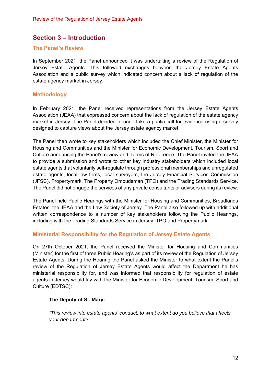## **Section 3 – Introduction**

### **The Panel's Review**

In September 2021, the Panel announced it was undertaking a review of the Regulation of Jersey Estate Agents. This followed exchanges between the Jersey Estate Agents Association and a public survey which indicated concern about a lack of regulation of the estate agency market in Jersey.

### **Methodology**

In February 2021, the Panel received representations from the Jersey Estate Agents Association (JEAA) that expressed concern about the lack of regulation of the estate agency market in Jersey. The Panel decided to undertake a public call for evidence using a survey designed to capture views about the Jersey estate agency market.

The Panel then wrote to key stakeholders which included the Chief Minister, the Minister for Housing and Communities and the Minister for Economic Development, Tourism, Sport and Culture announcing the Panel's review and Terms of Reference. The Panel invited the JEAA to provide a submission and wrote to other key industry stakeholders which included local estate agents that voluntarily self-regulate through professional memberships and unregulated estate agents, local law firms, local surveyors, the Jersey Financial Services Commission (JFSC), Propertymark, The Property Ombudsman (TPO) and the Trading Standards Service. The Panel did not engage the services of any private consultants or advisors during its review.

The Panel held Public Hearings with the Minister for Housing and Communities, Broadlands Estates, the JEAA and the Law Society of Jersey. The Panel also followed up with additional written correspondence to a number of key stakeholders following the Public Hearings, including with the Trading Standards Service in Jersey, TPO and Propertymark.

#### **Ministerial Responsibility for the Regulation of Jersey Estate Agents**

On 27th October 2021, the Panel received the Minister for Housing and Communities (Minister) for the first of three Public Hearing's as part of its review of the Regulation of Jersey Estate Agents. During the Hearing the Panel asked the Minister to what extent the Panel's review of the Regulation of Jersey Estate Agents would affect the Department he has ministerial responsibility for, and was informed that responsibility for regulation of estate agents in Jersey would lay with the Minister for Economic Development, Tourism, Sport and Culture (EDTSC):

#### **The Deputy of St. Mary:**

*"This review into estate agents' conduct, to what extent do you believe that affects your department?"*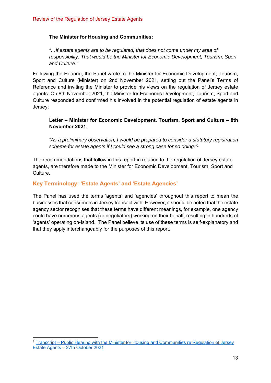#### **The Minister for Housing and Communities:**

*"…if estate agents are to be regulated, that does not come under my area of responsibility. That would be the Minister for Economic Development, Tourism, Sport and Culture."*

Following the Hearing, the Panel wrote to the Minister for Economic Development, Tourism, Sport and Culture (Minister) on 2nd November 2021, setting out the Panel's Terms of Reference and inviting the Minister to provide his views on the regulation of Jersey estate agents. On 8th November 2021, the Minister for Economic Development, Tourism, Sport and Culture responded and confirmed his involved in the potential regulation of estate agents in Jersey:

### **Letter – Minister for Economic Development, Tourism, Sport and Culture – 8th November 2021:**

*"As a preliminary observation, I would be prepared to consider a statutory registration scheme for estate agents if I could see a strong case for so doing."1*

The recommendations that follow in this report in relation to the regulation of Jersey estate agents, are therefore made to the Minister for Economic Development, Tourism, Sport and Culture.

## **Key Terminology: 'Estate Agents' and 'Estate Agencies'**

The Panel has used the terms 'agents' and 'agencies' throughout this report to mean the businesses that consumers in Jersey transact with. However, it should be noted that the estate agency sector recognises that these terms have different meanings, for example, one agency could have numerous agents (or negotiators) working on their behalf, resulting in hundreds of 'agents' operating on-Island. The Panel believe its use of these terms is self-explanatory and that they apply interchangeably for the purposes of this report.

<sup>1</sup> Transcript – Public Hearing with the Minister for Housing and Communities re Regulation of Jersey Estate Agents – 27th October 2021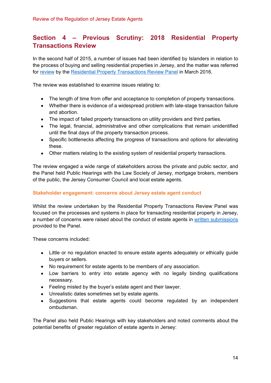# **Section 4 – Previous Scrutiny: 2018 Residential Property Transactions Review**

In the second half of 2015, a number of issues had been identified by Islanders in relation to the process of buying and selling residential properties in Jersey, and the matter was referred for review by the Residential Property Transactions Review Panel in March 2016.

The review was established to examine issues relating to:

- The length of time from offer and acceptance to completion of property transactions.
- Whether there is evidence of a widespread problem with late-stage transaction failure and abortion.
- The impact of failed property transactions on utility providers and third parties.
- The legal, financial, administrative and other complications that remain unidentified until the final days of the property transaction process.
- Specific bottlenecks affecting the progress of transactions and options for alleviating these.
- Other matters relating to the existing system of residential property transactions.

The review engaged a wide range of stakeholders across the private and public sector, and the Panel held Public Hearings with the Law Society of Jersey, mortgage brokers, members of the public, the Jersey Consumer Council and local estate agents.

## **Stakeholder engagement: concerns about Jersey estate agent conduct**

Whilst the review undertaken by the Residential Property Transactions Review Panel was focused on the processes and systems in place for transacting residential property in Jersey, a number of concerns were raised about the conduct of estate agents in written submissions provided to the Panel.

These concerns included:

- Little or no regulation enacted to ensure estate agents adequately or ethically guide buyers or sellers.
- No requirement for estate agents to be members of any association.
- Low barriers to entry into estate agency with no legally binding qualifications necessary.
- Feeling misled by the buyer's estate agent and their lawyer.
- Unrealistic dates sometimes set by estate agents.
- Suggestions that estate agents could become regulated by an independent ombudsman.

The Panel also held Public Hearings with key stakeholders and noted comments about the potential benefits of greater regulation of estate agents in Jersey: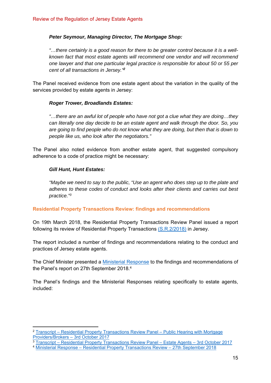#### *Peter Seymour, Managing Director, The Mortgage Shop:*

*"…there certainly is a good reason for there to be greater control because it is a wellknown fact that most estate agents will recommend one vendor and will recommend one lawyer and that one particular legal practice is responsible for about 50 or 55 per cent of all transactions in Jersey."<sup>2</sup>*

The Panel received evidence from one estate agent about the variation in the quality of the services provided by estate agents in Jersey:

#### *Roger Trower, Broadlands Estates:*

*"…there are an awful lot of people who have not got a clue what they are doing…they can literally one day decide to be an estate agent and walk through the door. So, you are going to find people who do not know what they are doing, but then that is down to people like us, who look after the negotiators."*

The Panel also noted evidence from another estate agent, that suggested compulsory adherence to a code of practice might be necessary:

#### *Gill Hunt, Hunt Estates:*

*"Maybe we need to say to the public, "Use an agent who does step up to the plate and adheres to these codes of conduct and looks after their clients and carries out best practice."3*

#### **Residential Property Transactions Review: findings and recommendations**

On 19th March 2018, the Residential Property Transactions Review Panel issued a report following its review of Residential Property Transactions (S.R.2/2018) in Jersey.

The report included a number of findings and recommendations relating to the conduct and practices of Jersey estate agents.

The Chief Minister presented a Ministerial Response to the findings and recommendations of the Panel's report on 27th September 2018.4

The Panel's findings and the Ministerial Responses relating specifically to estate agents, included:

<sup>2</sup> Transcript – Residential Property Transactions Review Panel – Public Hearing with Mortgage Providers/Brokers – 3rd October 2017

<sup>3</sup> Transcript – Residential Property Transactions Review Panel – Estate Agents – 3rd October 2017

<sup>4</sup> Ministerial Response – Residential Property Transactions Review – 27th September 2018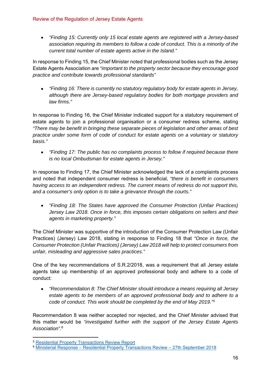*"Finding 15: Currently only 15 local estate agents are registered with a Jersey-based association requiring its members to follow a code of conduct. This is a minority of the current total number of estate agents active in the Island."* 

In response to Finding 15, the Chief Minister noted that professional bodies such as the Jersey Estate Agents Association are *"important to the property sector because they encourage good practice and contribute towards professional standards"* 

 *"Finding 16: There is currently no statutory regulatory body for estate agents in Jersey, although there are Jersey-based regulatory bodies for both mortgage providers and law firms."* 

In response to Finding 16, the Chief Minister indicated support for a statutory requirement of estate agents to join a professional organisation or a consumer redress scheme, stating *"There may be benefit in bringing these separate pieces of legislation and other areas of best practice under some form of code of conduct for estate agents on a voluntary or statutory basis."* 

 *"Finding 17: The public has no complaints process to follow if required because there is no local Ombudsman for estate agents in Jersey."* 

In response to Finding 17, the Chief Minister acknowledged the lack of a complaints process and noted that independent consumer redress is beneficial, *"there is benefit in consumers having access to an independent redress. The current means of redress do not support this, and a consumer's only option is to take a grievance through the courts."*

 *"Finding 18: The States have approved the Consumer Protection (Unfair Practices) Jersey Law 2018. Once in force, this imposes certain obligations on sellers and their agents in marketing property."* 

The Chief Minister was supportive of the introduction of the Consumer Protection Law (Unfair Practices) (Jersey) Law 2018, stating in response to Finding 18 that *"Once in force, the Consumer Protection (Unfair Practices) (Jersey) Law 2018 will help to protect consumers from unfair, misleading and aggressive sales practices."* 

One of the key recommendations of S.R.2/2018, was a requirement that all Jersey estate agents take up membership of an approved professional body and adhere to a code of conduct:

 *"Recommendation 8: The Chief Minister should introduce a means requiring all Jersey estate agents to be members of an approved professional body and to adhere to a code of conduct. This work should be completed by the end of May 2019."5*

Recommendation 8 was neither accepted nor rejected, and the Chief Minister advised that this matter would be *"investigated further with the support of the Jersey Estate Agents Association".*<sup>6</sup>

<sup>5</sup> Residential Property Transactions Review Report

<sup>6</sup> Ministerial Response – Residential Property Transactions Review – 27th September 2018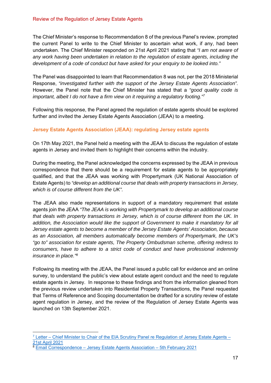The Chief Minister's response to Recommendation 8 of the previous Panel's review, prompted the current Panel to write to the Chief Minister to ascertain what work, if any, had been undertaken. The Chief Minister responded on 21st April 2021 stating that *"I am not aware of any work having been undertaken in relation to the regulation of estate agents, including the development of a code of conduct but have asked for your enquiry to be looked into."* 

The Panel was disappointed to learn that Recommendation 8 was not, per the 2018 Ministerial Response, *"investigated further with the support of the Jersey Estate Agents Association".*  However, the Panel note that the Chief Minister has stated that a *"good quality code is important, albeit I do not have a firm view on it requiring a regulatory footing."7*

Following this response, the Panel agreed the regulation of estate agents should be explored further and invited the Jersey Estate Agents Association (JEAA) to a meeting.

## **Jersey Estate Agents Association (JEAA): regulating Jersey estate agents**

On 17th May 2021, the Panel held a meeting with the JEAA to discuss the regulation of estate agents in Jersey and invited them to highlight their concerns within the industry.

During the meeting, the Panel acknowledged the concerns expressed by the JEAA in previous correspondence that there should be a requirement for estate agents to be appropriately qualified, and that the JEAA was working with Propertymark (UK National Association of Estate Agents) to *"develop an additional course that deals with property transactions in Jersey, which is of course different from the UK".*

The JEAA also made representations in support of a mandatory requirement that estate agents join the JEAA *"The JEAA is working with Propertymark to develop an additional course that deals with property transactions in Jersey, which is of course different from the UK. In addition, the Association would like the support of Government to make it mandatory for all Jersey estate agents to become a member of the Jersey Estate Agents' Association, because as an Association, all members automatically become members of Propertymark, the UK's "go to" association for estate agents, The Property Ombudsman scheme, offering redress to consumers, have to adhere to a strict code of conduct and have professional indemnity insurance in place."8*

Following its meeting with the JEAA, the Panel issued a public call for evidence and an online survey, to understand the public's view about estate agent conduct and the need to regulate estate agents in Jersey. In response to these findings and from the information gleaned from the previous review undertaken into Residential Property Transactions, the Panel requested that Terms of Reference and Scoping documentation be drafted for a scrutiny review of estate agent regulation in Jersey, and the review of the Regulation of Jersey Estate Agents was launched on 13th September 2021.

 $7$  Letter – Chief Minister to Chair of the EIA Scrutiny Panel re Regulation of Jersey Estate Agents – 21st April 2021<br><sup>8</sup> Email Correspondence – Jersey Estate Agents Association – 5th February 2021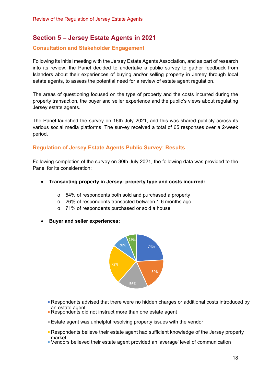## **Section 5 – Jersey Estate Agents in 2021**

## **Consultation and Stakeholder Engagement**

Following its initial meeting with the Jersey Estate Agents Association, and as part of research into its review, the Panel decided to undertake a public survey to gather feedback from Islanders about their experiences of buying and/or selling property in Jersey through local estate agents, to assess the potential need for a review of estate agent regulation.

The areas of questioning focused on the type of property and the costs incurred during the property transaction, the buyer and seller experience and the public's views about regulating Jersey estate agents.

The Panel launched the survey on 16th July 2021, and this was shared publicly across its various social media platforms. The survey received a total of 65 responses over a 2-week period.

## **Regulation of Jersey Estate Agents Public Survey: Results**

Following completion of the survey on 30th July 2021, the following data was provided to the Panel for its consideration:

- **Transacting property in Jersey: property type and costs incurred:**
	- o 54% of respondents both sold and purchased a property
	- o 26% of respondents transacted between 1-6 months ago
	- o 71% of respondents purchased or sold a house
- **Buyer and seller experiences:**



- **Respondents advised that there were no hidden charges or additional costs introduced by** an estate agent
- Respondents did not instruct more than one estate agent
- Estate agent was unhelpful resolving property issues with the vendor
- Respondents believe their estate agent had sufficient knowledge of the Jersey property market
- Vendors believed their estate agent provided an 'average' level of communication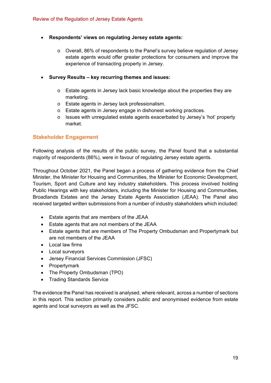## **Respondents' views on regulating Jersey estate agents:**

- o Overall, 86% of respondents to the Panel's survey believe regulation of Jersey estate agents would offer greater protections for consumers and improve the experience of transacting property in Jersey.
- **Survey Results key recurring themes and issues:** 
	- o Estate agents in Jersey lack basic knowledge about the properties they are marketing.
	- o Estate agents in Jersey lack professionalism.
	- o Estate agents in Jersey engage in dishonest working practices.
	- o Issues with unregulated estate agents exacerbated by Jersey's 'hot' property market.

## **Stakeholder Engagement**

Following analysis of the results of the public survey, the Panel found that a substantial majority of respondents (86%), were in favour of regulating Jersey estate agents.

Throughout October 2021, the Panel began a process of gathering evidence from the Chief Minister, the Minister for Housing and Communities, the Minister for Economic Development, Tourism, Sport and Culture and key industry stakeholders. This process involved holding Public Hearings with key stakeholders, including the Minister for Housing and Communities, Broadlands Estates and the Jersey Estate Agents Association (JEAA). The Panel also received targeted written submissions from a number of industry stakeholders which included:

- Estate agents that are members of the JEAA
- Estate agents that are not members of the JEAA
- Estate agents that are members of The Property Ombudsman and Propertymark but are not members of the JEAA
- Local law firms
- Local surveyors
- Jersey Financial Services Commission (JFSC)
- Propertymark
- The Property Ombudsman (TPO)
- Trading Standards Service

The evidence the Panel has received is analysed, where relevant, across a number of sections in this report. This section primarily considers public and anonymised evidence from estate agents and local surveyors as well as the JFSC.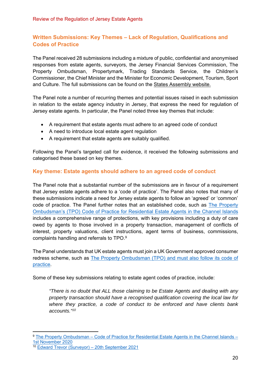## **Written Submissions: Key Themes – Lack of Regulation, Qualifications and Codes of Practice**

The Panel received 28 submissions including a mixture of public, confidential and anonymised responses from estate agents, surveyors, the Jersey Financial Services Commission, The Property Ombudsman, Propertymark, Trading Standards Service, the Children's Commissioner, the Chief Minister and the Minister for Economic Development, Tourism, Sport and Culture. The full submissions can be found on the States Assembly website.

The Panel note a number of recurring themes and potential issues raised in each submission in relation to the estate agency industry in Jersey, that express the need for regulation of Jersey estate agents. In particular, the Panel noted three key themes that include:

- A requirement that estate agents must adhere to an agreed code of conduct
- A need to introduce local estate agent regulation
- A requirement that estate agents are suitably qualified.

Following the Panel's targeted call for evidence, it received the following submissions and categorised these based on key themes.

## **Key theme: Estate agents should adhere to an agreed code of conduct**

The Panel note that a substantial number of the submissions are in favour of a requirement that Jersey estate agents adhere to a 'code of practice'. The Panel also notes that many of these submissions indicate a need for Jersey estate agents to follow an 'agreed' or 'common' code of practice. The Panel further notes that an established code, such as The Property Ombudsman's (TPO) Code of Practice for Residential Estate Agents in the Channel Islands includes a comprehensive range of protections, with key provisions including a duty of care owed by agents to those involved in a property transaction, management of conflicts of interest, property valuations, client instructions, agent terms of business, commissions, complaints handling and referrals to TPO.9

The Panel understands that UK estate agents must join a UK Government approved consumer redress scheme, such as The Property Ombudsman (TPO) and must also follow its code of practice.

Some of these key submissions relating to estate agent codes of practice, include:

*"There is no doubt that ALL those claiming to be Estate Agents and dealing with any property transaction should have a recognised qualification covering the local law for where they practice, a code of conduct to be enforced and have clients bank accounts."10*

<sup>9</sup> The Property Ombudsman – Code of Practice for Residential Estate Agents in the Channel Islands – 1st November 2020

<sup>10</sup> Edward Trevor (Surveyor) – 20th September 2021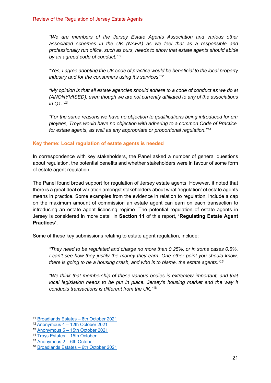*"We are members of the Jersey Estate Agents Association and various other associated schemes in the UK (NAEA) as we feel that as a responsible and professionally run office, such as ours, needs to show that estate agents should abide by an agreed code of conduct."11*

*"Yes, I agree adopting the UK code of practice would be beneficial to the local property industry and for the consumers using it's services"12*

*"My opinion is that all estate agencies should adhere to a code of conduct as we do at (ANONYMISED), even though we are not currently affiliated to any of the associations in Q1."13*

*"For the same reasons we have no objection to qualifications being introduced for em ployees, Troys would have no objection with adhering to a common Code of Practice for estate agents, as well as any appropriate or proportional regulation."14*

#### **Key theme: Local regulation of estate agents is needed**

In correspondence with key stakeholders, the Panel asked a number of general questions about regulation, the potential benefits and whether stakeholders were in favour of some form of estate agent regulation.

The Panel found broad support for regulation of Jersey estate agents. However, it noted that there is a great deal of variation amongst stakeholders about what 'regulation' of estate agents means in practice. Some examples from the evidence in relation to regulation, include a cap on the maximum amount of commission an estate agent can earn on each transaction to introducing an estate agent licensing regime. The potential regulation of estate agents in Jersey is considered in more detail in **Section 11** of this report, **'Regulating Estate Agent Practices'**.

Some of these key submissions relating to estate agent regulation, include:

*"They need to be regulated and charge no more than 0.25%, or in some cases 0.5%. I can't see how they justify the money they earn. One other point you should know, there is going to be a housing crash, and who is to blame, the estate agents."15*

*"We think that membership of these various bodies is extremely important, and that local legislation needs to be put in place. Jersey's housing market and the way it conducts transactions is different from the UK."*<sup>16</sup>

<sup>&</sup>lt;sup>11</sup> Broadlands Estates – 6th October 2021<br><sup>12</sup> Anonymous 4 – 12th October 2021

<sup>13</sup> Anonymous 5 – 15th October 2021

<sup>14</sup> Troys Estates – 15th October

<sup>15</sup> Anonymous 2 – 6th October

<sup>16</sup> Broadlands Estates – 6th October 2021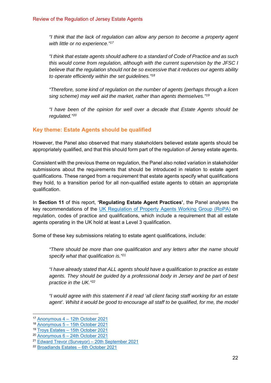*"I think that the lack of regulation can allow any person to become a property agent with little or no experience."17*

*"I think that estate agents should adhere to a standard of Code of Practice and as such this would come from regulation, although with the current supervision by the JFSC I believe that the regulation should not be so excessive that it reduces our agents ability to operate efficiently within the set guidelines."18*

*"Therefore, some kind of regulation on the number of agents (perhaps through a licen sing scheme) may well aid the market, rather than agents themselves."19*

*"I have been of the opinion for well over a decade that Estate Agents should be regulated."20*

## **Key theme: Estate Agents should be qualified**

However, the Panel also observed that many stakeholders believed estate agents should be appropriately qualified, and that this should form part of the regulation of Jersey estate agents.

Consistent with the previous theme on regulation, the Panel also noted variation in stakeholder submissions about the requirements that should be introduced in relation to estate agent qualifications. These ranged from a requirement that estate agents specify what qualifications they hold, to a transition period for all non-qualified estate agents to obtain an appropriate qualification.

In **Section 11** of this report, **'Regulating Estate Agent Practices'**, the Panel analyses the key recommendations of the UK Regulation of Property Agents Working Group (RoPA) on regulation, codes of practice and qualifications, which include a requirement that all estate agents operating in the UK hold at least a Level 3 qualification.

Some of these key submissions relating to estate agent qualifications, include:

*"There should be more than one qualification and any letters after the name should specify what that qualification is."21*

*"I have already stated that ALL agents should have a qualification to practice as estate agents. They should be guided by a professional body in Jersey and be part of best practice in the UK."22*

*"I would agree with this statement if it read 'all client facing staff working for an estate agent'. Whilst it would be good to encourage all staff to be qualified, for me, the model* 

<sup>17</sup> Anonymous 4 – 12th October 2021

<sup>18</sup> Anonymous 5 – 15th October 2021

<sup>19</sup> Troys Estates – 15th October 2021

<sup>20</sup> Anonymous 6 – 24th October 2021

<sup>21</sup> Edward Trevor (Surveyor) – 20th September 2021

<sup>22</sup> Broadlands Estates – 6th October 2021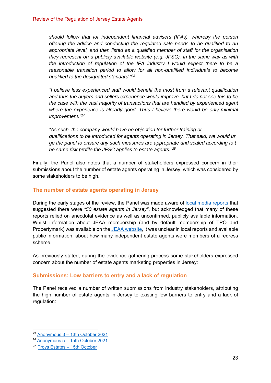*should follow that for independent financial advisers (IFAs), whereby the person offering the advice and conducting the regulated sale needs to be qualified to an appropriate level, and then listed as a qualified member of staff for the organisation they represent on a publicly available website (e.g. JFSC). In the same way as with the introduction of regulation of the IFA industry I would expect there to be a reasonable transition period to allow for all non-qualified individuals to become qualified to the designated standard."23*

*"I believe less experienced staff would benefit the most from a relevant qualification and thus the buyers and sellers experience would improve, but I do not see this to be the case with the vast majority of transactions that are handled by experienced agent*  where the experience is already good. Thus I believe there would be only minimal *improvement."24*

*"As such, the company would have no objection for further training or qualifications to be introduced for agents operating in Jersey. That said, we would ur ge the panel to ensure any such measures are appropriate and scaled according to t he same risk profile the JFSC applies to estate agents."25*

Finally, the Panel also notes that a number of stakeholders expressed concern in their submissions about the number of estate agents operating in Jersey, which was considered by some stakeholders to be high.

### **The number of estate agents operating in Jersey**

During the early stages of the review, the Panel was made aware of local media reports that suggested there were *"50 estate agents in Jersey"*, but acknowledged that many of these reports relied on anecdotal evidence as well as unconfirmed, publicly available information. Whilst information about JEAA membership (and by default membership of TPO and Propertymark) was available on the JEAA website, it was unclear in local reports and available public information, about how many independent estate agents were members of a redress scheme.

As previously stated, during the evidence gathering process some stakeholders expressed concern about the number of estate agents marketing properties in Jersey:

## **Submissions: Low barriers to entry and a lack of regulation**

The Panel received a number of written submissions from industry stakeholders, attributing the high number of estate agents in Jersey to existing low barriers to entry and a lack of regulation:

<sup>23</sup> Anonymous 3 – 13th October 2021

<sup>24</sup> Anonymous 5 – 15th October 2021

<sup>25</sup> Troys Estates – 15th October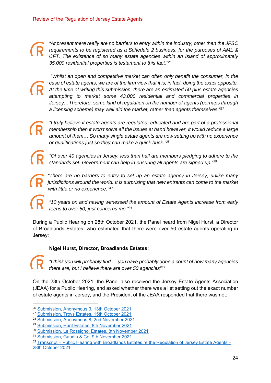*"At present there really are no barriers to entry within the industry, other than the JFSC requirements to be registered as a Schedule 2 business, for the purposes of AML & CFT. The existence of so many estate agencies within an Island of approximately 35,000 residential properties is testament to this fact."26*  $\bigcap_{\substack{r\\3}}$ 

 *"Whilst an open and competitive market can often only benefit the consumer, in the case of estate agents, we are of the firm view that it is, in fact, doing the exact opposite. At the time of writing this submission, there are an estimated 50*-*plus estate agencies attempting to market some 43,000 residential and commercial properties in Jersey…Therefore, some kind of regulation on the number of agents (perhaps through a licensing scheme) may well aid the market, rather than agents themselves."27*  $\bigcap_{\substack{a \\ a \\ a}}^{\infty}$ 

*"I truly believe if estate agents are regulated, educated and are part of a professional membership then it won't solve all the issues at hand however, it would reduce a large amount of them… So many single estate agents are now setting up with no experience or qualifications just so they can make a quick buck."28*  $\begin{array}{c} \n\bigcap_{\mathbf{a}} \mathbf{a} \\ \n\bigcap_{\mathbf{b}} \mathbf{a} \end{array}$ 

*"Of over 40 agencies in Jersey, less than half are members pledging to adhere to the standards set. Government can help in ensuring all agents are signed up."29*

*"There are no barriers to entry to set up an estate agency in Jersey, unlike many jurisdictions around the world. It is surprising that new entrants can come to the market with little or no experience."30*  $\begin{array}{c} \mathbf{\widehat{R}} \\ \vdots \\ \mathbf{\widehat{R}} \end{array}$  $\overbrace{\mathbf{R}}^{\mu}_{w}$ 

*"10 years on and having witnessed the amount of Estate Agents increase from early teens to over 50, just concerns me."31*

During a Public Hearing on 28th October 2021, the Panel heard from Nigel Hurst, a Director of Broadlands Estates, who estimated that there were over 50 estate agents operating in Jersey:  $\bigcap_{t \in \mathbb{R}^n}$   $\bigcap_{t \in \mathbb{R}^n}$  buring a of Broad

## **Nigel Hurst, Director, Broadlands Estates:**

 $\bigcap_{t \neq t}$   $\pi$ <br>On the 2<br>(JEAA) for

*"I think you will probably find … you have probably done a count of how many agencies there are, but I believe there are over 50 agencies"32*

On the 28th October 2021, the Panel also received the Jersey Estate Agents Association (JEAA) for a Public Hearing, and asked whether there was a list setting out the exact number of estate agents in Jersey, and the President of the JEAA responded that there was not:

<sup>32</sup> Transcript – Public Hearing with Broadlands Estates re the Regulation of Jersey Estate Agents – 28th October 2021

<sup>26</sup> Submission, Anonymous 3, 13th October 2021

<sup>27</sup> Submission, Troys Estates, 15th October 2021

<sup>28</sup> Submission, Anonymous 8, 2nd November 2021

<sup>29</sup> Submission, Hunt Estates, 8th November 2021

<sup>30</sup> Submission, Le Rossignol Estates, 8th November 2021

<sup>31</sup> Submission, Gaudin & Co, 9th November 2021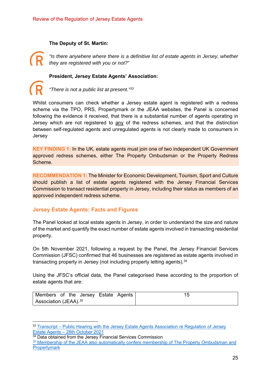#### **The Deputy of St. Martin:**

*"Is there anywhere where there is a definitive list of estate agents in Jersey, whether they are registered with you or not?"*   $\begin{array}{c} \n\bigcap_{u} u \\ \n\bigcap_{v} u \\ \n\bigcap_{v} u \end{array}$ 

#### **President, Jersey Estate Agents' Association:**

*"There is not a public list at present."33*

Whilst consumers can check whether a Jersey estate agent is registered with a redress scheme via the TPO, PRS, Propertymark or the JEAA websites, the Panel is concerned following the evidence it received, that there is a substantial number of agents operating in Jersey which are not registered to any of the redress schemes, and that the distinction between self-regulated agents and unregulated agents is not clearly made to consumers in Jersey R<br>
Whilst c<br>
scheme<br>
following

**KEY FINDING 1:** In the UK, estate agents must join one of two independent UK Government approved redress schemes, either The Property Ombudsman or the Property Redress Scheme.

**RECOMMENDATION 1:** The Minister for Economic Development, Tourism, Sport and Culture should publish a list of estate agents registered with the Jersey Financial Services Commission to transact residential property in Jersey, including their status as members of an approved independent redress scheme.

## **Jersey Estate Agents: Facts and Figures**

The Panel looked at local estate agents in Jersey, in order to understand the size and nature of the market and quantify the exact number of estate agents involved in transacting residential property.

On 5th November 2021, following a request by the Panel, the Jersey Financial Services Commission (JFSC) confirmed that 46 businesses are registered as estate agents involved in transacting property in Jersey (not including property letting agents).<sup>34</sup>

Using the JFSC's official data, the Panel categorised these according to the proportion of estate agents that are:

| Members of the Jersey Estate Agents |  |
|-------------------------------------|--|
| Association (JEAA). <sup>35</sup>   |  |

<sup>33</sup> Transcript – Public Hearing with the Jersey Estate Agents Association re Regulation of Jersey Estate Agents – 28th October 2021

<sup>&</sup>lt;sup>34</sup> Data obtained from the Jersey Financial Services Commission

<sup>&</sup>lt;sup>35</sup> Membership of the JEAA also automatically confers membership of The Property Ombudsman and **Propertymark**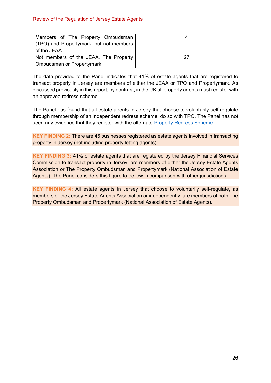| Members of The Property Ombudsman<br>(TPO) and Propertymark, but not members<br>of the JEAA. |    |
|----------------------------------------------------------------------------------------------|----|
| Not members of the JEAA, The Property                                                        | 27 |
| Ombudsman or Propertymark.                                                                   |    |

The data provided to the Panel indicates that 41% of estate agents that are registered to transact property in Jersey are members of either the JEAA or TPO and Propertymark. As discussed previously in this report, by contrast, in the UK all property agents must register with an approved redress scheme.

The Panel has found that all estate agents in Jersey that choose to voluntarily self-regulate through membership of an independent redress scheme, do so with TPO. The Panel has not seen any evidence that they register with the alternate **Property Redress Scheme.** 

**KEY FINDING 2:** There are 46 businesses registered as estate agents involved in transacting property in Jersey (not including property letting agents).

**KEY FINDING 3:** 41% of estate agents that are registered by the Jersey Financial Services Commission to transact property in Jersey, are members of either the Jersey Estate Agents Association or The Property Ombudsman and Propertymark (National Association of Estate Agents). The Panel considers this figure to be low in comparison with other jurisdictions.

**KEY FINDING 4:** All estate agents in Jersey that choose to voluntarily self-regulate, as members of the Jersey Estate Agents Association or independently, are members of both The Property Ombudsman and Propertymark (National Association of Estate Agents).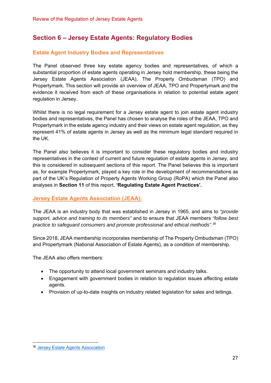# **Section 6 – Jersey Estate Agents: Regulatory Bodies**

## **Estate Agent Industry Bodies and Representatives**

The Panel observed three key estate agency bodies and representatives, of which a substantial proportion of estate agents operating in Jersey hold membership, these being the Jersey Estate Agents Association (JEAA), The Property Ombudsman (TPO) and Propertymark. This section will provide an overview of JEAA, TPO and Propertymark and the evidence it received from each of these organisations in relation to potential estate agent regulation in Jersey.

Whilst there is no legal requirement for a Jersey estate agent to join estate agent industry bodies and representatives, the Panel has chosen to analyse the roles of the JEAA, TPO and Propertymark in the estate agency industry and their views on estate agent regulation, as they represent 41% of estate agents in Jersey as well as the minimum legal standard required in the UK.

The Panel also believes it is important to consider these regulatory bodies and industry representatives in the context of current and future regulation of estate agents in Jersey, and this is considered in subsequent sections of this report. The Panel believes this is important as, for example Propertymark, played a key role in the development of recommendations as part of the UK's Regulation of Property Agents Working Group (RoPA) which the Panel also analyses in **Section 11** of this report, **'Regulating Estate Agent Practices'.**

## **Jersey Estate Agents Association (JEAA):**

The JEAA is an industry body that was established in Jersey in 1965, and aims to *"provide support, advice and training to its members"* and to ensure that JEAA members *"follow best practice to safeguard consumers and promote professional and ethical methods".36*

Since 2018, JEAA membership incorporates membership of The Property Ombudsman (TPO) and Propertymark (National Association of Estate Agents), as a condition of membership.

The JEAA also offers members:

- The opportunity to attend local government seminars and industry talks.
- Engagement with government bodies in relation to regulation issues affecting estate agents.
- Provision of up-to-date insights on industry related legislation for sales and lettings.

<sup>36</sup> Jersey Estate Agents Association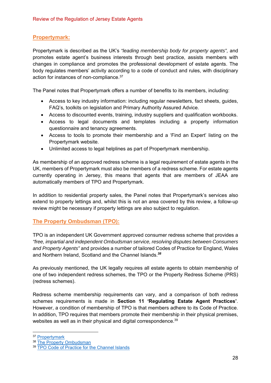## **Propertymark:**

Propertymark is described as the UK's *"leading membership body for property agents",* and promotes estate agent's business interests through best practice, assists members with changes in compliance and promotes the professional development of estate agents. The body regulates members' activity according to a code of conduct and rules, with disciplinary action for instances of non-compliance.37

The Panel notes that Propertymark offers a number of benefits to its members, including:

- Access to key industry information: including regular newsletters, fact sheets, guides, FAQ's, toolkits on legislation and Primary Authority Assured Advice.
- Access to discounted events, training, industry suppliers and qualification workbooks.
- Access to legal documents and templates including a property information questionnaire and tenancy agreements.
- Access to tools to promote their membership and a 'Find an Expert' listing on the Propertymark website.
- Unlimited access to legal helplines as part of Propertymark membership.

As membership of an approved redress scheme is a legal requirement of estate agents in the UK, members of Propertymark must also be members of a redress scheme. For estate agents currently operating in Jersey, this means that agents that are members of JEAA are automatically members of TPO and Propertymark.

In addition to residential property sales, the Panel notes that Propertymark's services also extend to property lettings and, whilst this is not an area covered by this review, a follow-up review might be necessary if property lettings are also subject to regulation.

## **The Property Ombudsman (TPO):**

TPO is an independent UK Government approved consumer redress scheme that provides a *"free, impartial and independent Ombudsman service, resolving disputes between Consumers and Property Agents"* and provides a number of tailored Codes of Practice for England, Wales and Northern Ireland, Scotland and the Channel Islands.*<sup>38</sup>*

As previously mentioned, the UK legally requires all estate agents to obtain membership of one of two independent redress schemes, the TPO or the Property Redress Scheme (PRS) (redress schemes).

Redress scheme membership requirements can vary, and a comparison of both redress schemes requirements is made in **Section 11 'Regulating Estate Agent Practices'**. However, a condition of membership of TPO is that members adhere to its Code of Practice. In addition, TPO requires that members promote their membership in their physical premises, websites as well as in their physical and digital correspondence.<sup>39</sup>

<sup>37</sup> Propertymark

<sup>38</sup> The Property Ombudsman

<sup>&</sup>lt;sup>39</sup> TPO Code of Practice for the Channel Islands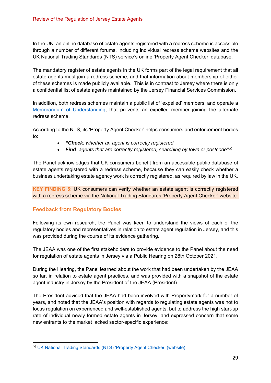In the UK, an online database of estate agents registered with a redress scheme is accessible through a number of different forums, including individual redress scheme websites and the UK National Trading Standards (NTS) service's online 'Property Agent Checker' database.

The mandatory register of estate agents in the UK forms part of the legal requirement that all estate agents must join a redress scheme, and that information about membership of either of these schemes is made publicly available. This is in contrast to Jersey where there is only a confidential list of estate agents maintained by the Jersey Financial Services Commission.

In addition, both redress schemes maintain a public list of 'expelled' members, and operate a Memorandum of Understanding, that prevents an expelled member joining the alternate redress scheme.

According to the NTS, its 'Property Agent Checker' helps consumers and enforcement bodies to:

- *"Check: whether an agent is correctly registered*
- *Find: agents that are correctly registered, searching by town or postcode"40*

The Panel acknowledges that UK consumers benefit from an accessible public database of estate agents registered with a redress scheme, because they can easily check whether a business undertaking estate agency work is correctly registered, as required by law in the UK.

**KEY FINDING 5:** UK consumers can verify whether an estate agent is correctly registered with a redress scheme via the National Trading Standards 'Property Agent Checker' website.

## **Feedback from Regulatory Bodies**

Following its own research, the Panel was keen to understand the views of each of the regulatory bodies and representatives in relation to estate agent regulation in Jersey, and this was provided during the course of its evidence gathering.

The JEAA was one of the first stakeholders to provide evidence to the Panel about the need for regulation of estate agents in Jersey via a Public Hearing on 28th October 2021.

During the Hearing, the Panel learned about the work that had been undertaken by the JEAA so far, in relation to estate agent practices, and was provided with a snapshot of the estate agent industry in Jersey by the President of the JEAA (President).

The President advised that the JEAA had been involved with Propertymark for a number of years, and noted that the JEAA's position with regards to regulating estate agents was not to focus regulation on experienced and well-established agents, but to address the high start-up rate of individual newly formed estate agents in Jersey, and expressed concern that some new entrants to the market lacked sector-specific experience:

<sup>40</sup> UK National Trading Standards (NTS) 'Property Agent Checker' (website)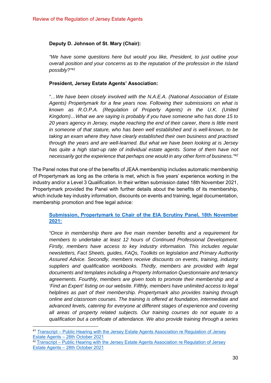### **Deputy D. Johnson of St. Mary (Chair):**

*"We have some questions here but would you like, President, to just outline your overall position and your concerns as to the reputation of the profession in the Island possibly?"41*

#### **President, Jersey Estate Agents' Association:**

*"…We have been closely involved with the N.A.E.A. (National Association of Estate Agents) Propertymark for a few years now. Following their submissions on what is known as R.O.P.A. (Regulation of Property Agents) in the U.K. (United Kingdom)…What we are saying is probably if you have someone who has done 15 to 20 years agency in Jersey, maybe reaching the end of their career, there is little merit in someone of that stature, who has been well established and is well-known, to be taking an exam where they have clearly established their own business and practised through the years and are well-learned. But what we have been looking at is Jersey*  has quite a high start-up rate of individual estate agents. Some of them have not *necessarily got the experience that perhaps one would in any other form of business."42*

The Panel notes that one of the benefits of JEAA membership includes automatic membership of Propertymark as long as the criteria is met, which is five years' experience working in the industry and/or a Level 3 Qualification. In their written submission dated 18th November 2021, Propertymark provided the Panel with further details about the benefits of its membership, which include key industry information, discounts on events and training, legal documentation, membership promotion and free legal advice:

## **Submission, Propertymark to Chair of the EIA Scrutiny Panel, 18th November 2021:**

*"Once in membership there are five main member benefits and a requirement for members to undertake at least 12 hours of Continued Professional Development. Firstly, members have access to key industry information. This includes regular newsletters, Fact Sheets, guides, FAQs, Toolkits on legislation and Primary Authority Assured Advice. Secondly, members receive discounts on events, training, industry suppliers and qualification workbooks. Thirdly, members are provided with legal documents and templates including a Property Information Questionnaire and tenancy agreements. Fourthly, members are given tools to promote their membership and a 'Find an Expert' listing on our website. Fifthly, members have unlimited access to legal helplines as part of their membership. Propertymark also provides training through online and classroom courses. The training is offered at foundation, intermediate and advanced levels, catering for everyone at different stages of experience and covering all areas of property related subjects. Our training courses do not equate to a qualification but a certificate of attendance. We also provide training through a series* 

<sup>41</sup> Transcript – Public Hearing with the Jersey Estate Agents Association re Regulation of Jersey Estate Agents – 28th October 2021

<sup>&</sup>lt;sup>42</sup> Transcript – Public Hearing with the Jersey Estate Agents Association re Regulation of Jersey Estate Agents – 28th October 2021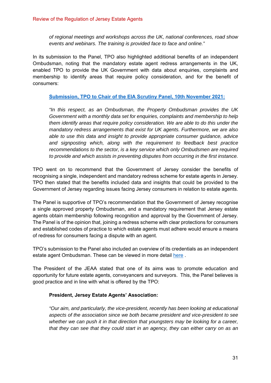*of regional meetings and workshops across the UK, national conferences, road show events and webinars. The training is provided face to face and online."* 

In its submission to the Panel, TPO also highlighted additional benefits of an independent Ombudsman, noting that the mandatory estate agent redress arrangements in the UK, enabled TPO to provide the UK Government with data about enquiries, complaints and membership to identify areas that require policy consideration, and for the benefit of consumers:

#### **Submission, TPO to Chair of the EIA Scrutiny Panel, 10th November 2021:**

*"In this respect, as an Ombudsman, the Property Ombudsman provides the UK Government with a monthly data set for enquiries, complaints and membership to help them identify areas that require policy consideration. We are able to do this under the mandatory redress arrangements that exist for UK agents. Furthermore, we are also able to use this data and insight to provide appropriate consumer guidance, advice and signposting which, along with the requirement to feedback best practice recommendations to the sector, is a key service which only Ombudsmen are required to provide and which assists in preventing disputes from occurring in the first instance.* 

TPO went on to recommend that the Government of Jersey consider the benefits of recognising a single, independent and mandatory redress scheme for estate agents in Jersey. TPO then stated that the benefits included data and insights that could be provided to the Government of Jersey regarding issues facing Jersey consumers in relation to estate agents.

The Panel is supportive of TPO's recommendation that the Government of Jersey recognise a single approved property Ombudsman, and a mandatory requirement that Jersey estate agents obtain membership following recognition and approval by the Government of Jersey. The Panel is of the opinion that, joining a redress scheme with clear protections for consumers and established codes of practice to which estate agents must adhere would ensure a means of redress for consumers facing a dispute with an agent.

TPO's submission to the Panel also included an overview of its credentials as an independent estate agent Ombudsman. These can be viewed in more detail here.

The President of the JEAA stated that one of its aims was to promote education and opportunity for future estate agents, conveyancers and surveyors. This, the Panel believes is good practice and in line with what is offered by the TPO:

#### **President, Jersey Estate Agents' Association:**

*"Our aim, and particularly, the vice-president, recently has been looking at educational aspects of the association since we both became president and vice-president to see whether we can push it in that direction that youngsters may be looking for a career, that they can see that they could start in an agency, they can either carry on as an*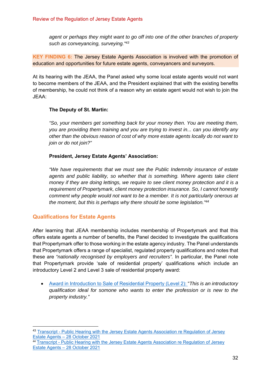*agent or perhaps they might want to go off into one of the other branches of property such as conveyancing, surveying."43*

**KEY FINDING 6:** The Jersey Estate Agents Association is involved with the promotion of education and opportunities for future estate agents, conveyancers and surveyors.

At its hearing with the JEAA, the Panel asked why some local estate agents would not want to become members of the JEAA, and the President explained that with the existing benefits of membership, he could not think of a reason why an estate agent would not wish to join the JEAA:

#### **The Deputy of St. Martin:**

*"So, your members get something back for your money then. You are meeting them, you are providing them training and you are trying to invest in... can you identify any other than the obvious reason of cost of why more estate agents locally do not want to join or do not join?"* 

#### **President, Jersey Estate Agents' Association:**

*"We have requirements that we must see the Public Indemnity insurance of estate agents and public liability, so whether that is something. Where agents take client money if they are doing lettings, we require to see client money protection and it is a requirement of Propertymark, client money protection insurance. So, I cannot honestly comment why people would not want to be a member. It is not particularly onerous at the moment, but this is perhaps why there should be some legislation."44*

## **Qualifications for Estate Agents**

After learning that JEAA membership includes membership of Propertymark and that this offers estate agents a number of benefits, the Panel decided to investigate the qualifications that Propertymark offer to those working in the estate agency industry. The Panel understands that Propertymark offers a range of specialist, regulated property qualifications and notes that these are *"nationally recognised by employers and recruiters".* In particular, the Panel note that Propertymark provide 'sale of residential property' qualifications which include an introductory Level 2 and Level 3 sale of residential property award:

 Award in Introduction to Sale of Residential Property (Level 2): "*This is an introductory qualification ideal for somone who wants to enter the profession or is new to the property industry."* 

<sup>&</sup>lt;sup>43</sup> Transcript - Public Hearing with the Jersey Estate Agents Association re Regulation of Jersey Estate Agents – 28 October 2021

<sup>44</sup> Transcript - Public Hearing with the Jersey Estate Agents Association re Regulation of Jersey Estate Agents – 28 October 2021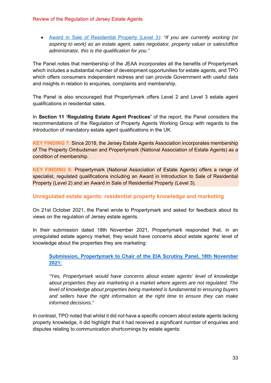Award in Sale of Residential Property (Level 3): *"If you are currently working (or aspiring to work) as an estate agent, sales negotiator, property valuer or sales/office administrator, this is the qualification for you."* 

The Panel notes that membership of the JEAA incorporates all the benefits of Propertymark which includes a substantial number of development opportunities for estate agents, and TPO which offers consumers independent redress and can provide Government with useful data and insights in relation to enquiries, complaints and membership.

The Panel is also encouraged that Propertymark offers Level 2 and Level 3 estate agent qualifications in residential sales.

In **Section 11 'Regulating Estate Agent Practices'** of the report, the Panel considers the recommendations of the Regulation of Property Agents Working Group with regards to the introduction of mandatory estate agent qualifications in the UK.

**KEY FINDING 7:** Since 2018, the Jersey Estate Agents Association incorporates membership of The Property Ombudsman and Propertymark (National Association of Estate Agents) as a condition of membership.

**KEY FINDING 8:** Propertymark (National Association of Estate Agents) offers a range of specialist, regulated qualifications including an Award in Introduction to Sale of Residential Property (Level 2) and an Award in Sale of Residential Property (Level 3).

## **Unregulated estate agents: residential property knowledge and marketing**

On 21st October 2021, the Panel wrote to Propertymark and asked for feedback about its views on the regulation of Jersey estate agents.

In their submission dated 18th November 2021, Propertymark responded that, in an unregulated estate agency market, they would have concerns about estate agents' level of knowledge about the properties they are marketing:

**Submission, Propertymark to Chair of the EIA Scrutiny Panel, 18th November 2021:**

*"Yes, Propertymark would have concerns about estate agents' level of knowledge about properties they are marketing in a market where agents are not regulated. The level of knowledge about properties being marketed is fundamental to ensuring buyers and sellers have the right information at the right time to ensure they can make informed decisions."*

In contrast, TPO noted that whilst it did not have a specific concern about estate agents lacking property knowledge, it did highlight that it had received a significant number of enquiries and disputes relating to communication shortcomings by estate agents: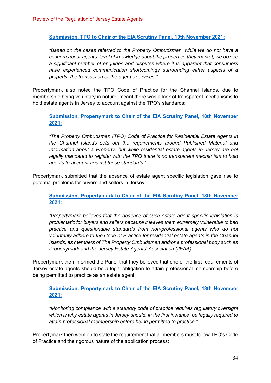**Submission, TPO to Chair of the EIA Scrutiny Panel, 10th November 2021:**

*"Based on the cases referred to the Property Ombudsman, while we do not have a concern about agents' level of knowledge about the properties they market, we do see a significant number of enquiries and disputes where it is apparent that consumers have experienced communication shortcomings surrounding either aspects of a property, the transaction or the agent's services."* 

Propertymark also noted the TPO Code of Practice for the Channel Islands, due to membership being voluntary in nature, meant there was a lack of transparent mechanisms to hold estate agents in Jersey to account against the TPO's standards:

**Submission, Propertymark to Chair of the EIA Scrutiny Panel, 18th November 2021:**

*"The Property Ombudsman (TPO) Code of Practice for Residential Estate Agents in the Channel Islands sets out the requirements around Published Material and Information about a Property, but while residential estate agents in Jersey are not legally mandated to register with the TPO there is no transparent mechanism to hold agents to account against these standards."* 

Propertymark submitted that the absence of estate agent specific legislation gave rise to potential problems for buyers and sellers in Jersey:

**Submission, Propertymark to Chair of the EIA Scrutiny Panel, 18th November 2021:**

*"Propertymark believes that the absence of such estate-agent specific legislation is problematic for buyers and sellers because it leaves them extremely vulnerable to bad practice and questionable standards from non-professional agents who do not voluntarily adhere to the Code of Practice for residential estate agents in the Channel Islands, as members of The Property Ombudsman and/or a professional body such as Propertymark and the Jersey Estate Agents' Association (JEAA).* 

Propertymark then informed the Panel that they believed that one of the first requirements of Jersey estate agents should be a legal obligation to attain professional membership before being permitted to practice as an estate agent:

**Submission, Propertymark to Chair of the EIA Scrutiny Panel, 18th November 2021:**

*"Monitoring compliance with a statutory code of practice requires regulatory oversight which is why estate agents in Jersey should, in the first instance, be legally required to attain professional membership before being permitted to practice."* 

Propertymark then went on to state the requirement that all members must follow TPO's Code of Practice and the rigorous nature of the application process: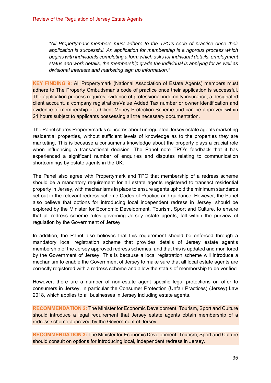*"All Propertymark members must adhere to the TPO's code of practice once their application is successful. An application for membership is a rigorous process which begins with individuals completing a form which asks for individual details, employment status and work details, the membership grade the individual is applying for as well as divisional interests and marketing sign up information."* 

**KEY FINDING 9:** All Propertymark (National Association of Estate Agents) members must adhere to The Property Ombudsman's code of practice once their application is successful. The application process requires evidence of professional indemnity insurance, a designated client account, a company registration/Value Added Tax number or owner identification and evidence of membership of a Client Money Protection Scheme and can be approved within 24 hours subject to applicants possessing all the necessary documentation.

The Panel shares Propertymark's concerns about unregulated Jersey estate agents marketing residential properties, without sufficient levels of knowledge as to the properties they are marketing. This is because a consumer's knowledge about the property plays a crucial role when influencing a transactional decision. The Panel note TPO's feedback that it has experienced a significant number of enquiries and disputes relating to communication shortcomings by estate agents in the UK.

The Panel also agree with Propertymark and TPO that membership of a redress scheme should be a mandatory requirement for all estate agents registered to transact residential property in Jersey, with mechanisms in place to ensure agents uphold the minimum standards set out in the relevant redress scheme Codes of Practice and guidance. However, the Panel also believe that options for introducing local independent redress in Jersey, should be explored by the Minister for Economic Development, Tourism, Sport and Culture, to ensure that all redress scheme rules governing Jersey estate agents, fall within the purview of regulation by the Government of Jersey.

In addition, the Panel also believes that this requirement should be enforced through a mandatory local registration scheme that provides details of Jersey estate agent's membership of the Jersey approved redress schemes, and that this is updated and monitored by the Government of Jersey. This is because a local registration scheme will introduce a mechanism to enable the Government of Jersey to make sure that all local estate agents are correctly registered with a redress scheme and allow the status of membership to be verified.

However, there are a number of non-estate agent specific legal protections on offer to consumers in Jersey, in particular the Consumer Protection (Unfair Practices) (Jersey) Law 2018, which applies to all businesses in Jersey including estate agents.

**RECOMMENDATION 2:** The Minister for Economic Development, Tourism, Sport and Culture should introduce a legal requirement that Jersey estate agents obtain membership of a redress scheme approved by the Government of Jersey.

**RECOMMENDATION 3:** The Minister for Economic Development, Tourism, Sport and Culture should consult on options for introducing local, independent redress in Jersey.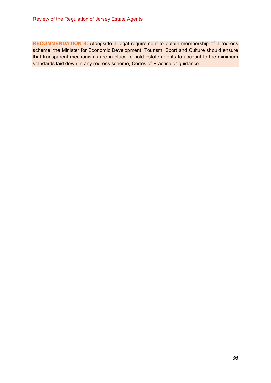**RECOMMENDATION 4:** Alongside a legal requirement to obtain membership of a redress scheme, the Minister for Economic Development, Tourism, Sport and Culture should ensure that transparent mechanisms are in place to hold estate agents to account to the minimum standards laid down in any redress scheme, Codes of Practice or guidance.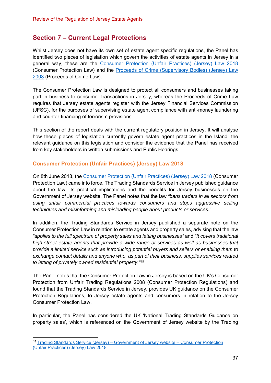## **Section 7 – Current Legal Protections**

Whilst Jersey does not have its own set of estate agent specific regulations, the Panel has identified two pieces of legislation which govern the activities of estate agents in Jersey in a general way, these are the Consumer Protection (Unfair Practices) (Jersey) Law 2018 (Consumer Protection Law) and the Proceeds of Crime (Supervisory Bodies) (Jersey) Law 2008 (Proceeds of Crime Law).

The Consumer Protection Law is designed to protect all consumers and businesses taking part in business to consumer transactions in Jersey, whereas the Proceeds of Crime Law requires that Jersey estate agents register with the Jersey Financial Services Commission (JFSC), for the purposes of supervising estate agent compliance with anti-money laundering and counter-financing of terrorism provisions.

This section of the report deals with the current regulatory position in Jersey. It will analyse how these pieces of legislation currently govern estate agent practices in the Island, the relevant guidance on this legislation and consider the evidence that the Panel has received from key stakeholders in written submissions and Public Hearings.

## **Consumer Protection (Unfair Practices) (Jersey) Law 2018**

On 8th June 2018, the Consumer Protection (Unfair Practices) (Jersey) Law 2018 (Consumer Protection Law) came into force. The Trading Standards Service in Jersey published guidance about the law, its practical implications and the benefits for Jersey businesses on the Government of Jersey website. The Panel notes that the law *"bans traders in all sectors from using unfair commercial practices towards consumers and stops aggressive selling techniques and misinforming and misleading people about products or services."*

In addition, the Trading Standards Service in Jersey published a separate note on the Consumer Protection Law in relation to estate agents and property sales, advising that the law *"applies to the full spectrum of property sales and letting businesses"* and *"It covers traditional*  high street estate agents that provide a wide range of services as well as businesses that *provide a limited service such as introducing potential buyers and sellers or enabling them to exchange contact details and anyone who, as part of their business, supplies services related to letting of privately owned residential property."45*

The Panel notes that the Consumer Protection Law in Jersey is based on the UK's Consumer Protection from Unfair Trading Regulations 2008 (Consumer Protection Regulations) and found that the Trading Standards Service in Jersey, provides UK guidance on the Consumer Protection Regulations, to Jersey estate agents and consumers in relation to the Jersey Consumer Protection Law.

In particular, the Panel has considered the UK 'National Trading Standards Guidance on property sales', which is referenced on the Government of Jersey website by the Trading

<sup>45</sup> Trading Standards Service (Jersey) – Government of Jersey website – Consumer Protection (Unfair Practices) (Jersey) Law 2018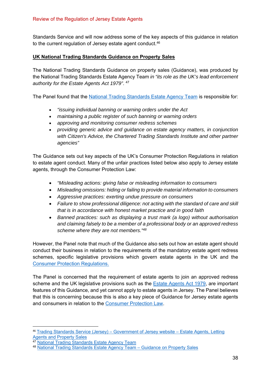Standards Service and will now address some of the key aspects of this guidance in relation to the current regulation of Jersey estate agent conduct.<sup>46</sup>

### **UK National Trading Standards Guidance on Property Sales**

The National Trading Standards Guidance on property sales (Guidance), was produced by the National Trading Standards Estate Agency Team *in "its role as the UK's lead enforcement authority for the Estate Agents Act 1979"*. 47

The Panel found that the National Trading Standards Estate Agency Team is responsible for:

- *"issuing individual banning or warning orders under the Act*
- *maintaining a public register of such banning or warning orders*
- *approving and monitoring consumer redress schemes*
- *providing generic advice and guidance on estate agency matters, in conjunction*  with Citizen's Advice, the Chartered Trading Standards Institute and other partner *agencies"*

The Guidance sets out key aspects of the UK's Consumer Protection Regulations in relation to estate agent conduct. Many of the unfair practices listed below also apply to Jersey estate agents, through the Consumer Protection Law:

- *"Misleading actions: giving false or misleading information to consumers*
- *Misleading omissions: hiding or failing to provide material information to consumers*
- *Aggressive practices: exerting undue pressure on consumers*
- *Failure to show professional diligence: not acting with the standard of care and skill that is in accordance with honest market practice and in good faith*
- *Banned practices: such as displaying a trust mark (a logo) without authorisation and claiming falsely to be a member of a professional body or an approved redress scheme where they are not members."48*

However, the Panel note that much of the Guidance also sets out how an estate agent should conduct their business in relation to the requirements of the mandatory estate agent redress schemes, specific legislative provisions which govern estate agents in the UK and the Consumer Protection Regulations.

The Panel is concerned that the requirement of estate agents to join an approved redress scheme and the UK legislative provisions such as the Estate Agents Act 1979, are important features of this Guidance, and yet cannot apply to estate agents in Jersey. The Panel believes that this is concerning because this is also a key piece of Guidance for Jersey estate agents and consumers in relation to the Consumer Protection Law.

<sup>46</sup> Trading Standards Service (Jersey) – Government of Jersey website – Estate Agents, Letting Agents and Property Sales

National Trading Standards Estate Agency Team

<sup>48</sup> National Trading Standards Estate Agency Team – Guidance on Property Sales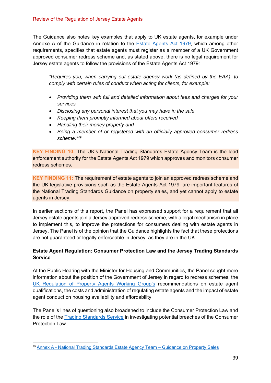The Guidance also notes key examples that apply to UK estate agents, for example under Annexe A of the Guidance in relation to the Estate Agents Act 1979, which among other requirements, specifies that estate agents must register as a member of a UK Government approved consumer redress scheme and, as stated above, there is no legal requirement for Jersey estate agents to follow the provisions of the Estate Agents Act 1979:

*"Requires you, when carrying out estate agency work (as defined by the EAA), to comply with certain rules of conduct when acting for clients, for example:* 

- *Providing them with full and detailed information about fees and charges for your services*
- *Disclosing any personal interest that you may have in the sale*
- *Keeping them promptly informed about offers received*
- *Handling their money properly and*
- *Being a member of or registered with an officially approved consumer redress scheme."49*

**KEY FINDING 10:** The UK's National Trading Standards Estate Agency Team is the lead enforcement authority for the Estate Agents Act 1979 which approves and monitors consumer redress schemes.

**KEY FINDING 11:** The requirement of estate agents to join an approved redress scheme and the UK legislative provisions such as the Estate Agents Act 1979, are important features of the National Trading Standards Guidance on property sales, and yet cannot apply to estate agents in Jersey.

In earlier sections of this report, the Panel has expressed support for a requirement that all Jersey estate agents join a Jersey approved redress scheme, with a legal mechanism in place to implement this, to improve the protections for consumers dealing with estate agents in Jersey. The Panel is of the opinion that the Guidance highlights the fact that these protections are not guaranteed or legally enforceable in Jersey, as they are in the UK.

## **Estate Agent Regulation: Consumer Protection Law and the Jersey Trading Standards Service**

At the Public Hearing with the Minister for Housing and Communities, the Panel sought more information about the position of the Government of Jersey in regard to redress schemes, the UK Regulation of Property Agents Working Group's recommendations on estate agent qualifications, the costs and administration of regulating estate agents and the impact of estate agent conduct on housing availability and affordability.

The Panel's lines of questioning also broadened to include the Consumer Protection Law and the role of the Trading Standards Service in investigating potential breaches of the Consumer Protection Law.

<sup>49</sup> Annex A - National Trading Standards Estate Agency Team – Guidance on Property Sales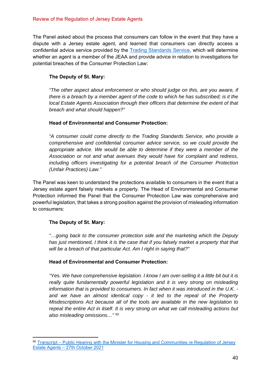The Panel asked about the process that consumers can follow in the event that they have a dispute with a Jersey estate agent, and learned that consumers can directly access a confidential advice service provided by the Trading Standards Service, which will determine whether an agent is a member of the JEAA and provide advice in relation to investigations for potential breaches of the Consumer Protection Law:

## **The Deputy of St. Mary:**

*"The other aspect about enforcement or who should judge on this, are you aware, if there is a breach by a member agent of the code to which he has subscribed; is it the local Estate Agents Association through their officers that determine the extent of that breach and what should happen?"* 

## **Head of Environmental and Consumer Protection:**

*"A consumer could come directly to the Trading Standards Service, who provide a comprehensive and confidential consumer advice service, so we could provide the appropriate advice. We would be able to determine if they were a member of the Association or not and what avenues they would have for complaint and redress, including officers investigating for a potential breach of the Consumer Protection (Unfair Practices) Law."* 

The Panel was keen to understand the protections available to consumers in the event that a Jersey estate agent falsely markets a property. The Head of Environmental and Consumer Protection informed the Panel that the Consumer Protection Law was comprehensive and powerful legislation, that takes a strong position against the provision of misleading information to consumers:

## **The Deputy of St. Mary:**

*"…going back to the consumer protection side and the marketing which the Deputy*  has just mentioned. I think it is the case that if you falsely market a property that that *will be a breach of that particular Act. Am I right in saying that?"* 

## **Head of Environmental and Consumer Protection:**

*"Yes. We have comprehensive legislation. I know I am over-selling it a little bit but it is*  really quite fundamentally powerful legislation and it is very strong on misleading *information that is provided to consumers. In fact when it was introduced in the U.K. and we have an almost identical copy - it led to the repeal of the Property Misdescriptions Act because all of the tools are available in the new legislation to repeal the entire Act in itself. It is very strong on what we call misleading actions but also misleading omissions…" 50*

<sup>50</sup> Transcript – Public Hearing with the Minister for Housing and Communities re Regulation of Jersey Estate Agents – 27th October 2021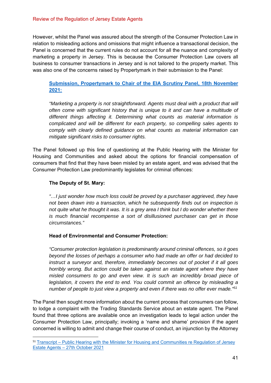However, whilst the Panel was assured about the strength of the Consumer Protection Law in relation to misleading actions and omissions that might influence a transactional decision, the Panel is concerned that the current rules do not account for all the nuance and complexity of marketing a property in Jersey. This is because the Consumer Protection Law covers all business to consumer transactions in Jersey and is not tailored to the property market. This was also one of the concerns raised by Propertymark in their submission to the Panel:

## **Submission, Propertymark to Chair of the EIA Scrutiny Panel, 18th November 2021:**

*"Marketing a property is not straightforward. Agents must deal with a product that will often come with significant history that is unique to it and can have a multitude of different things affecting it. Determining what counts as material information is complicated and will be different for each property, so compelling sales agents to comply with clearly defined guidance on what counts as material information can mitigate significant risks to consumer rights.* 

The Panel followed up this line of questioning at the Public Hearing with the Minister for Housing and Communities and asked about the options for financial compensation of consumers that find that they have been misled by an estate agent, and was advised that the Consumer Protection Law predominantly legislates for criminal offences:

## **The Deputy of St. Mary:**

*"…I just wonder how much loss could be proved by a purchaser aggrieved, they have not been drawn into a transaction, which he subsequently finds out on inspection is not quite what he thought it was. It is a grey area I think but I do wonder whether there is much financial recompense a sort of disillusioned purchaser can get in those circumstances."* 

## **Head of Environmental and Consumer Protection:**

*"Consumer protection legislation is predominantly around criminal offences, so it goes beyond the losses of perhaps a consumer who had made an offer or had decided to instruct a surveyor and, therefore, immediately becomes out of pocket if it all goes horribly wrong. But action could be taken against an estate agent where they have misled consumers to go and even view. It is such an incredibly broad piece of legislation, it covers the end to end. You could commit an offence by misleading a number of people to just view a property and even if there was no offer ever made."51*

The Panel then sought more information about the current process that consumers can follow, to lodge a complaint with the Trading Standards Service about an estate agent. The Panel found that three options are available once an investigation leads to legal action under the Consumer Protection Law, principally; invoking a 'name and shame' provision if the agent concerned is willing to admit and change their course of conduct, an injunction by the Attorney

<sup>51</sup> Transcript – Public Hearing with the Minister for Housing and Communities re Regulation of Jersey Estate Agents – 27th October 2021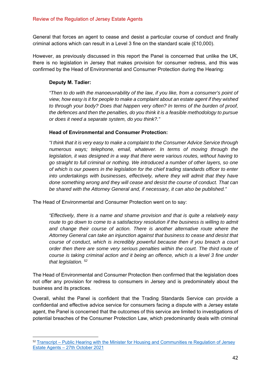General that forces an agent to cease and desist a particular course of conduct and finally criminal actions which can result in a Level 3 fine on the standard scale (£10,000).

However, as previously discussed in this report the Panel is concerned that unlike the UK, there is no legislation in Jersey that makes provision for consumer redress, and this was confirmed by the Head of Environmental and Consumer Protection during the Hearing:

## **Deputy M. Tadier:**

*"Then to do with the manoeuvrability of the law, if you like, from a consumer's point of view, how easy is it for people to make a complaint about an estate agent if they wished to through your body? Does that happen very often? In terms of the burden of proof, the defences and then the penalties, do you think it is a feasible methodology to pursue or does it need a separate system, do you think?."* 

#### **Head of Environmental and Consumer Protection:**

*"I think that it is very easy to make a complaint to the Consumer Advice Service through numerous ways; telephone, email, whatever. In terms of moving through the legislation, it was designed in a way that there were various routes, without having to go straight to full criminal or nothing. We introduced a number of other layers, so one of which is our powers in the legislation for the chief trading standards officer to enter into undertakings with businesses, effectively, where they will admit that they have done something wrong and they will cease and desist the course of conduct. That can be shared with the Attorney General and, if necessary, it can also be published."* 

The Head of Environmental and Consumer Protection went on to say:

*"Effectively, there is a name and shame provision and that is quite a relatively easy route to go down to come to a satisfactory resolution if the business is willing to admit and change their course of action. There is another alternative route where the Attorney General can take an injunction against that business to cease and desist that course of conduct, which is incredibly powerful because then if you breach a court order then there are some very serious penalties within the court. The third route of course is taking criminal action and it being an offence, which is a level 3 fine under that legislation. 52*

The Head of Environmental and Consumer Protection then confirmed that the legislation does not offer any provision for redress to consumers in Jersey and is predominately about the business and its practices.

Overall, whilst the Panel is confident that the Trading Standards Service can provide a confidential and effective advice service for consumers facing a dispute with a Jersey estate agent, the Panel is concerned that the outcomes of this service are limited to investigations of potential breaches of the Consumer Protection Law, which predominantly deals with criminal

<sup>52</sup> Transcript – Public Hearing with the Minister for Housing and Communities re Regulation of Jersey Estate Agents – 27th October 2021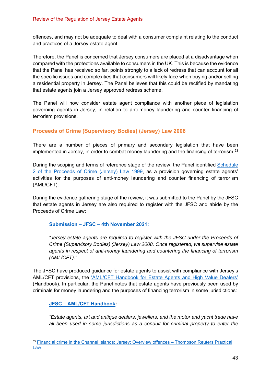offences, and may not be adequate to deal with a consumer complaint relating to the conduct and practices of a Jersey estate agent.

Therefore, the Panel is concerned that Jersey consumers are placed at a disadvantage when compared with the protections available to consumers in the UK. This is because the evidence that the Panel has received so far, points strongly to a lack of redress that can account for all the specific issues and complexities that consumers will likely face when buying and/or selling a residential property in Jersey. The Panel believes that this could be rectified by mandating that estate agents join a Jersey approved redress scheme.

The Panel will now consider estate agent compliance with another piece of legislation governing agents in Jersey, in relation to anti-money laundering and counter financing of terrorism provisions.

## **Proceeds of Crime (Supervisory Bodies) (Jersey) Law 2008**

There are a number of pieces of primary and secondary legislation that have been implemented in Jersey, in order to combat money laundering and the financing of terrorism.<sup>53</sup>

During the scoping and terms of reference stage of the review, the Panel identified Schedule 2 of the Proceeds of Crime (Jersey) Law 1999, as a provision governing estate agents' activities for the purposes of anti-money laundering and counter financing of terrorism (AML/CFT).

During the evidence gathering stage of the review, it was submitted to the Panel by the JFSC that estate agents in Jersey are also required to register with the JFSC and abide by the Proceeds of Crime Law:

**Submission – JFSC – 4th November 2021:**

*"Jersey estate agents are required to register with the JFSC under the Proceeds of Crime (Supervisory Bodies) (Jersey) Law 2008. Once registered, we supervise estate agents in respect of anti-money laundering and countering the financing of terrorism (AML/CFT)."* 

The JFSC have produced guidance for estate agents to assist with compliance with Jersey's AML/CFT provisions, the 'AML/CFT Handbook for Estate Agents and High Value Dealers' (Handbook). In particular, the Panel notes that estate agents have previously been used by criminals for money laundering and the purposes of financing terrorism in some jurisdictions:

## **JFSC – AML/CFT Handbook:**

*"Estate agents, art and antique dealers, jewellers, and the motor and yacht trade have all been used in some jurisdictions as a conduit for criminal property to enter the* 

<sup>53</sup> Financial crime in the Channel Islands: Jersey: Overview offences – Thompson Reuters Practical Law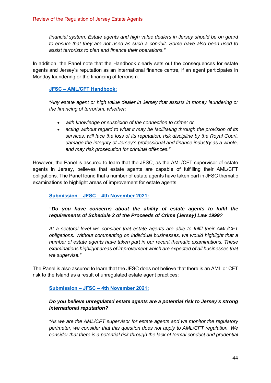*financial system. Estate agents and high value dealers in Jersey should be on guard to ensure that they are not used as such a conduit. Some have also been used to assist terrorists to plan and finance their operations."* 

In addition, the Panel note that the Handbook clearly sets out the consequences for estate agents and Jersey's reputation as an international finance centre, if an agent participates in Monday laundering or the financing of terrorism:

## **JFSC – AML/CFT Handbook:**

*"Any estate agent or high value dealer in Jersey that assists in money laundering or the financing of terrorism, whether:* 

- *with knowledge or suspicion of the connection to crime; or*
- *acting without regard to what it may be facilitating through the provision of its services, will face the loss of its reputation, risk discipline by the Royal Court, damage the integrity of Jersey's professional and finance industry as a whole, and may risk prosecution for criminal offences."*

However, the Panel is assured to learn that the JFSC, as the AML/CFT supervisor of estate agents in Jersey, believes that estate agents are capable of fulfilling their AML/CFT obligations. The Panel found that a number of estate agents have taken part in JFSC thematic examinations to highlight areas of improvement for estate agents:

**Submission – JFSC – 4th November 2021:**

## *"Do you have concerns about the ability of estate agents to fulfil the requirements of Schedule 2 of the Proceeds of Crime (Jersey) Law 1999?*

*At a sectoral level we consider that estate agents are able to fulfil their AML/CFT obligations. Without commenting on individual businesses, we would highlight that a number of estate agents have taken part in our recent thematic examinations. These examinations highlight areas of improvement which are expected of all businesses that we supervise."* 

The Panel is also assured to learn that the JFSC does not believe that there is an AML or CFT risk to the Island as a result of unregulated estate agent practices:

## **Submission – JFSC – 4th November 2021:**

## *Do you believe unregulated estate agents are a potential risk to Jersey's strong international reputation?*

*"As we are the AML/CFT supervisor for estate agents and we monitor the regulatory perimeter, we consider that this question does not apply to AML/CFT regulation. We consider that there is a potential risk through the lack of formal conduct and prudential*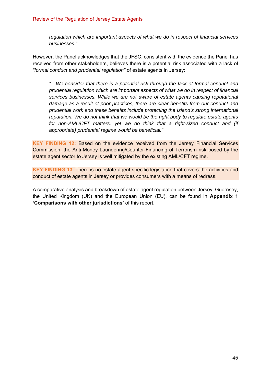*regulation which are important aspects of what we do in respect of financial services businesses."* 

However, the Panel acknowledges that the JFSC, consistent with the evidence the Panel has received from other stakeholders, believes there is a potential risk associated with a lack of *"formal conduct and prudential regulation"* of estate agents in Jersey:

*"…We consider that there is a potential risk through the lack of formal conduct and prudential regulation which are important aspects of what we do in respect of financial services businesses. While we are not aware of estate agents causing reputational damage as a result of poor practices, there are clear benefits from our conduct and prudential work and these benefits include protecting the Island's strong international reputation. We do not think that we would be the right body to regulate estate agents for non-AML/CFT matters, yet we do think that a right-sized conduct and (if appropriate) prudential regime would be beneficial."*

**KEY FINDING 12:** Based on the evidence received from the Jersey Financial Services Commission, the Anti-Money Laundering/Counter-Financing of Terrorism risk posed by the estate agent sector to Jersey is well mitigated by the existing AML/CFT regime.

**KEY FINDING 13**: There is no estate agent specific legislation that covers the activities and conduct of estate agents in Jersey or provides consumers with a means of redress.

A comparative analysis and breakdown of estate agent regulation between Jersey, Guernsey, the United Kingdom (UK) and the European Union (EU), can be found in **Appendix 1 'Comparisons with other jurisdictions'** of this report.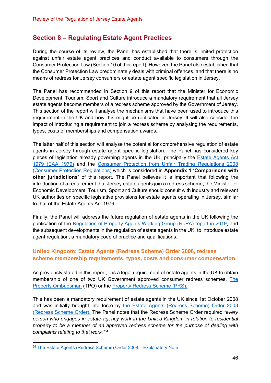## **Section 8 – Regulating Estate Agent Practices**

During the course of its review, the Panel has established that there is limited protection against unfair estate agent practices and conduct available to consumers through the Consumer Protection Law (Section 10 of this report). However, the Panel also established that the Consumer Protection Law predominately deals with criminal offences, and that there is no means of redress for Jersey consumers or estate agent specific legislation in Jersey.

The Panel has recommended in Section 9 of this report that the Minister for Economic Development, Tourism, Sport and Culture introduce a mandatory requirement that all Jersey estate agents become members of a redress scheme approved by the Government of Jersey. This section of the report will analyse the mechanisms that have been used to introduce this requirement in the UK and how this might be replicated in Jersey. It will also consider the impact of introducing a requirement to join a redress scheme by analysing the requirements, types, costs of memberships and compensation awards.

The latter half of this section will analyse the potential for comprehensive regulation of estate agents in Jersey through estate agent specific legislation. The Panel has considered key pieces of legislation already governing agents in the UK, principally the Estate Agents Act 1979 (EAA 1979) and the Consumer Protection from Unfair Trading Regulations 2008 (Consumer Protection Regulations) which is considered in **Appendix 1 'Comparisons with other jurisdictions'** of this report. The Panel believes it is important that following the introduction of a requirement that Jersey estate agents join a redress scheme, the Minister for Economic Development, Tourism, Sport and Culture should consult with industry and relevant UK authorities on specific legislative provisions for estate agents operating in Jersey, similar to that of the Estate Agents Act 1979.

Finally, the Panel will address the future regulation of estate agents in the UK following the publication of the Regulation of Property Agents Working Group (RoPA) report in 2019, and the subsequent developments in the regulation of estate agents in the UK, to introduce estate agent regulation, a mandatory code of practice and qualifications.

## **United Kingdom: Estate Agents (Redress Scheme) Order 2008, redress scheme membership requirements, types, costs and consumer compensation**

As previously stated in this report, it is a legal requirement of estate agents in the UK to obtain membership of one of two UK Government approved consumer redress schemes, The Property Ombudsman (TPO) or the Property Redress Scheme (PRS).

This has been a mandatory requirement of estate agents in the UK since 1st October 2008 and was initially brought into force by the Estate Agents (Redress Scheme) Order 2008 (Redress Scheme Order). The Panel notes that the Redress Scheme Order required *"every person who engages in estate agency work in the United Kingdom in relation to residential property to be a member of an approved redress scheme for the purpose of dealing with complaints relating to that work."*<sup>54</sup>

<sup>54</sup> The Estate Agents (Redress Scheme) Order 2008 – Explanatory Note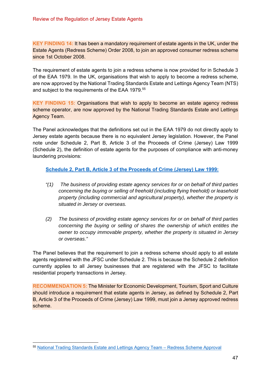**KEY FINDING 14:** It has been a mandatory requirement of estate agents in the UK, under the Estate Agents (Redress Scheme) Order 2008, to join an approved consumer redress scheme since 1st October 2008.

The requirement of estate agents to join a redress scheme is now provided for in Schedule 3 of the EAA 1979. In the UK, organisations that wish to apply to become a redress scheme, are now approved by the National Trading Standards Estate and Lettings Agency Team (NTS) and subject to the requirements of the EAA 1979.55

**KEY FINDING 15:** Organisations that wish to apply to become an estate agency redress scheme operator, are now approved by the National Trading Standards Estate and Lettings Agency Team.

The Panel acknowledges that the definitions set out in the EAA 1979 do not directly apply to Jersey estate agents because there is no equivalent Jersey legislation. However, the Panel note under Schedule 2, Part B, Article 3 of the Proceeds of Crime (Jersey) Law 1999 (Schedule 2), the definition of estate agents for the purposes of compliance with anti-money laundering provisions:

#### **Schedule 2, Part B, Article 3 of the Proceeds of Crime (Jersey) Law 1999:**

- *"(1) The business of providing estate agency services for or on behalf of third parties concerning the buying or selling of freehold (including flying freehold) or leasehold property (including commercial and agricultural property), whether the property is situated in Jersey or overseas.*
- *(2) The business of providing estate agency services for or on behalf of third parties concerning the buying or selling of shares the ownership of which entitles the owner to occupy immovable property, whether the property is situated in Jersey or overseas."*

The Panel believes that the requirement to join a redress scheme should apply to all estate agents registered with the JFSC under Schedule 2. This is because the Schedule 2 definition currently applies to all Jersey businesses that are registered with the JFSC to facilitate residential property transactions in Jersey.

**RECOMMENDATION 5:** The Minister for Economic Development, Tourism, Sport and Culture should introduce a requirement that estate agents in Jersey, as defined by Schedule 2, Part B, Article 3 of the Proceeds of Crime (Jersey) Law 1999, must join a Jersey approved redress scheme.

<sup>55</sup> National Trading Standards Estate and Lettings Agency Team – Redress Scheme Approval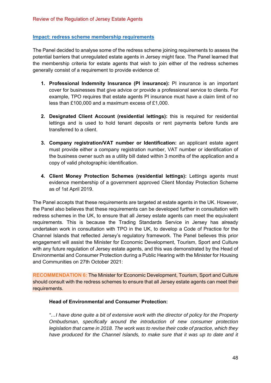#### **Impact: redress scheme membership requirements**

The Panel decided to analyse some of the redress scheme joining requirements to assess the potential barriers that unregulated estate agents in Jersey might face. The Panel learned that the membership criteria for estate agents that wish to join either of the redress schemes generally consist of a requirement to provide evidence of:

- **1. Professional Indemnity Insurance (PI insurance):** PI insurance is an important cover for businesses that give advice or provide a professional service to clients. For example, TPO requires that estate agents PI insurance must have a claim limit of no less than £100,000 and a maximum excess of £1,000.
- **2. Designated Client Account (residential lettings):** this is required for residential lettings and is used to hold tenant deposits or rent payments before funds are transferred to a client.
- **3. Company registration/VAT number or Identification:** an applicant estate agent must provide either a company registration number, VAT number or identification of the business owner such as a utility bill dated within 3 months of the application and a copy of valid photographic identification.
- **4. Client Money Protection Schemes (residential lettings):** Lettings agents must evidence membership of a government approved Client Monday Protection Scheme as of 1st April 2019.

The Panel accepts that these requirements are targeted at estate agents in the UK. However, the Panel also believes that these requirements can be developed further in consultation with redress schemes in the UK, to ensure that all Jersey estate agents can meet the equivalent requirements. This is because the Trading Standards Service in Jersey has already undertaken work in consultation with TPO in the UK, to develop a Code of Practice for the Channel Islands that reflected Jersey's regulatory framework. The Panel believes this prior engagement will assist the Minister for Economic Development, Tourism, Sport and Culture with any future regulation of Jersey estate agents, and this was demonstrated by the Head of Environmental and Consumer Protection during a Public Hearing with the Minister for Housing and Communities on 27th October 2021:

**RECOMMENDATION 6:** The Minister for Economic Development, Tourism, Sport and Culture should consult with the redress schemes to ensure that all Jersey estate agents can meet their requirements.

#### **Head of Environmental and Consumer Protection:**

*"…I have done quite a bit of extensive work with the director of policy for the Property Ombudsman, specifically around the introduction of new consumer protection legislation that came in 2018. The work was to revise their code of practice, which they have produced for the Channel Islands, to make sure that it was up to date and it*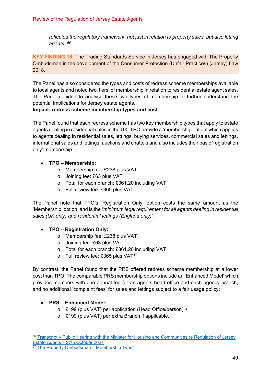*reflected the regulatory framework, not just in relation to property sales, but also letting agents."56*

**KEY FINDING 16:** The Trading Standards Service in Jersey has engaged with The Property Ombudsman in the development of the Consumer Protection (Unfair Practices) (Jersey) Law 2018.

The Panel has also considered the types and costs of redress scheme memberships available to local agents and noted two 'tiers' of membership in relation to residential estate agent sales. The Panel decided to analyse these two types of membership to further understand the potential implications for Jersey estate agents.

## **Impact: redress scheme membership types and cost**

The Panel found that each redress scheme has two key membership types that apply to estate agents dealing in residential sales in the UK. TPO provide a 'membership option' which applies to agents dealing in residential sales, lettings, buying services, commercial sales and lettings, international sales and lettings, auctions and chattels and also includes their basic 'registration only' membership:

## **TPO – Membership:**

- o Membership fee: £238 plus VAT
- o Joining fee: £63 plus VAT
- o Total for each branch: £361.20 including VAT
- o Full review fee: £365 plus VAT

The Panel note that TPO's 'Registration Only' option costs the same amount as the 'Membership' option, and is the *"minimum legal requirement for all agents dealing in residential sales (UK only) and residential lettings (England only)"*:

- **TPO Registration Only:** 
	- o Membership fee: £238 plus VAT
	- o Joining fee: £63 plus VAT
	- o Total for each branch: £361.20 including VAT
	- o Full review fee: £365 plus VAT**<sup>57</sup>**

By contrast, the Panel found that the PRS offered redress scheme membership at a lower cost than TPO. The comparable PRS membership options include an 'Enhanced Model' which provides members with one annual fee for an agents head office and each agency branch, and no additional 'complaint fees' for sales and lettings subject to a fair usage policy:

## **PRS – Enhanced Model:**

- o £199 (plus VAT) per application (Head Office/person) +
- o £199 (plus VAT) per extra Branch if applicable.

<sup>56</sup> Transcript – Public Hearing with the Minister for Housing and Communities re Regulation of Jersey Estate Agents – 27th October 2021<br>57 The Proport : 2001

The Property Ombudsman – Membership Types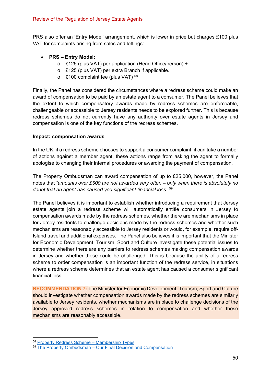PRS also offer an 'Entry Model' arrangement, which is lower in price but charges £100 plus VAT for complaints arising from sales and lettings:

## **PRS – Entry Model:**

- o £125 (plus VAT) per application (Head Office/person) +
- o £125 (plus VAT) per extra Branch if applicable.
- o £100 complaint fee (plus VAT) 58

Finally, the Panel has considered the circumstances where a redress scheme could make an award of compensation to be paid by an estate agent to a consumer. The Panel believes that the extent to which compensatory awards made by redress schemes are enforceable, challengeable or accessible to Jersey residents needs to be explored further. This is because redress schemes do not currently have any authority over estate agents in Jersey and compensation is one of the key functions of the redress schemes.

#### **Impact: compensation awards**

In the UK, if a redress scheme chooses to support a consumer complaint, it can take a number of actions against a member agent, these actions range from asking the agent to formally apologise to changing their internal procedures or awarding the payment of compensation.

The Property Ombudsman can award compensation of up to £25,000, however, the Panel notes that *"amounts over £500 are not awarded very often – only when there is absolutely no doubt that an agent has caused you significant financial loss."*<sup>59</sup>

The Panel believes it is important to establish whether introducing a requirement that Jersey estate agents join a redress scheme will automatically entitle consumers in Jersey to compensation awards made by the redress schemes, whether there are mechanisms in place for Jersey residents to challenge decisions made by the redress schemes and whether such mechanisms are reasonably accessible to Jersey residents or would, for example, require off-Island travel and additional expenses. The Panel also believes it is important that the Minister for Economic Development, Tourism, Sport and Culture investigate these potential issues to determine whether there are any barriers to redress schemes making compensation awards in Jersey and whether these could be challenged. This is because the ability of a redress scheme to order compensation is an important function of the redress service, in situations where a redress scheme determines that an estate agent has caused a consumer significant financial loss.

**RECOMMENDATION 7:** The Minister for Economic Development, Tourism, Sport and Culture should investigate whether compensation awards made by the redress schemes are similarly available to Jersey residents, whether mechanisms are in place to challenge decisions of the Jersey approved redress schemes in relation to compensation and whether these mechanisms are reasonably accessible.

<sup>58</sup> Property Redress Scheme – Membership Types

<sup>59</sup> The Property Ombudsman – Our Final Decision and Compensation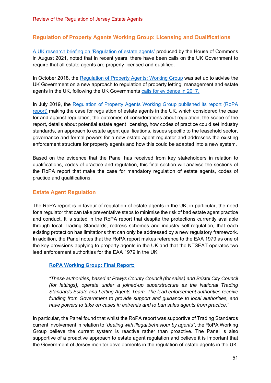## **Regulation of Property Agents Working Group: Licensing and Qualifications**

A UK research briefing on 'Regulation of estate agents' produced by the House of Commons in August 2021, noted that in recent years, there have been calls on the UK Government to require that all estate agents are properly licensed and qualified.

In October 2018, the Regulation of Property Agents: Working Group was set up to advise the UK Government on a new approach to regulation of property letting, management and estate agents in the UK, following the UK Governments calls for evidence in 2017.

In July 2019, the Regulation of Property Agents Working Group published its report (RoPA report) making the case for regulation of estate agents in the UK, which considered the case for and against regulation, the outcomes of considerations about regulation, the scope of the report, details about potential estate agent licensing, how codes of practice could set industry standards, an approach to estate agent qualifications, issues specific to the leasehold sector, governance and formal powers for a new estate agent regulator and addresses the existing enforcement structure for property agents and how this could be adapted into a new system.

Based on the evidence that the Panel has received from key stakeholders in relation to qualifications, codes of practice and regulation, this final section will analyse the sections of the RoPA report that make the case for mandatory regulation of estate agents, codes of practice and qualifications.

## **Estate Agent Regulation**

The RoPA report is in favour of regulation of estate agents in the UK, in particular, the need for a regulator that can take preventative steps to minimise the risk of bad estate agent practice and conduct. It is stated in the RoPA report that despite the protections currently available through local Trading Standards, redress schemes and industry self-regulation, that each existing protection has limitations that can only be addressed by a new regulatory framework. In addition, the Panel notes that the RoPA report makes reference to the EAA 1979 as one of the key provisions applying to property agents in the UK and that the NTSEAT operates two lead enforcement authorities for the EAA 1979 in the UK:

#### **RoPA Working Group: Final Report:**

*"These authorities, based at Powys County Council (for sales) and Bristol City Council (for lettings), operate under a joined-up superstructure as the National Trading Standards Estate and Letting Agents Team. The lead enforcement authorities receive funding from Government to provide support and guidance to local authorities, and have powers to take on cases in extremis and to ban sales agents from practice."* 

In particular, the Panel found that whilst the RoPA report was supportive of Trading Standards current involvement in relation to *"dealing with illegal behaviour by agents"*, the RoPA Working Group believe the current system is reactive rather than proactive. The Panel is also supportive of a proactive approach to estate agent regulation and believe it is important that the Government of Jersey monitor developments in the regulation of estate agents in the UK.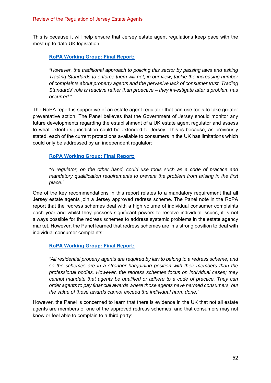This is because it will help ensure that Jersey estate agent regulations keep pace with the most up to date UK legislation:

### **RoPA Working Group: Final Report:**

*"However, the traditional approach to policing this sector by passing laws and asking Trading Standards to enforce them will not, in our view, tackle the increasing number of complaints about property agents and the pervasive lack of consumer trust. Trading Standards' role is reactive rather than proactive – they investigate after a problem has occurred."* 

The RoPA report is supportive of an estate agent regulator that can use tools to take greater preventative action. The Panel believes that the Government of Jersey should monitor any future developments regarding the establishment of a UK estate agent regulator and assess to what extent its jurisdiction could be extended to Jersey. This is because, as previously stated, each of the current protections available to consumers in the UK has limitations which could only be addressed by an independent regulator:

#### **RoPA Working Group: Final Report:**

*"A regulator, on the other hand, could use tools such as a code of practice and mandatory qualification requirements to prevent the problem from arising in the first place."* 

One of the key recommendations in this report relates to a mandatory requirement that all Jersey estate agents join a Jersey approved redress scheme. The Panel note in the RoPA report that the redress schemes deal with a high volume of individual consumer complaints each year and whilst they possess significant powers to resolve individual issues, it is not always possible for the redress schemes to address systemic problems in the estate agency market. However, the Panel learned that redress schemes are in a strong position to deal with individual consumer complaints:

#### **RoPA Working Group: Final Report:**

*"All residential property agents are required by law to belong to a redress scheme, and so the schemes are in a stronger bargaining position with their members than the professional bodies. However, the redress schemes focus on individual cases; they cannot mandate that agents be qualified or adhere to a code of practice. They can order agents to pay financial awards where those agents have harmed consumers, but the value of these awards cannot exceed the individual harm done."* 

However, the Panel is concerned to learn that there is evidence in the UK that not all estate agents are members of one of the approved redress schemes, and that consumers may not know or feel able to complain to a third party: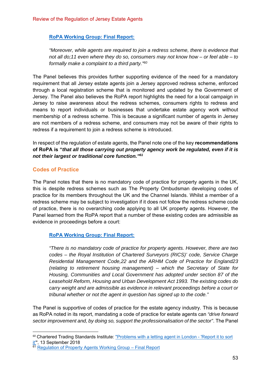### **RoPA Working Group: Final Report:**

*"Moreover, while agents are required to join a redress scheme, there is evidence that not all do;11 even where they do so, consumers may not know how – or feel able – to formally make a complaint to a third party."60*

The Panel believes this provides further supporting evidence of the need for a mandatory requirement that all Jersey estate agents join a Jersey approved redress scheme, enforced through a local registration scheme that is monitored and updated by the Government of Jersey. The Panel also believes the RoPA report highlights the need for a local campaign in Jersey to raise awareness about the redress schemes, consumers rights to redress and means to report individuals or businesses that undertake estate agency work without membership of a redress scheme. This is because a significant number of agents in Jersey are not members of a redress scheme, and consumers may not be aware of their rights to redress if a requirement to join a redress scheme is introduced.

In respect of the regulation of estate agents, the Panel note one of the key **recommendations of RoPA is "***that all those carrying out property agency work be regulated, even if it is not their largest or traditional core function."61*

#### **Codes of Practice**

The Panel notes that there is no mandatory code of practice for property agents in the UK, this is despite redress schemes such as The Property Ombudsman developing codes of practice for its members throughout the UK and the Channel Islands. Whilst a member of a redress scheme may be subject to investigation if it does not follow the redress scheme code of practice, there is no overarching code applying to all UK property agents. However, the Panel learned from the RoPA report that a number of these existing codes are admissible as evidence in proceedings before a court:

#### **RoPA Working Group: Final Report:**

*"There is no mandatory code of practice for property agents. However, there are two codes – the Royal Institution of Chartered Surveyors (RICS)' code, Service Charge Residential Management Code,22 and the ARHM Code of Practice for England23 (relating to retirement housing management) – which the Secretary of State for Housing, Communities and Local Government has adopted under section 87 of the Leasehold Reform, Housing and Urban Development Act 1993. The existing codes do carry weight and are admissible as evidence in relevant proceedings before a court or tribunal whether or not the agent in question has signed up to the code."* 

The Panel is supportive of codes of practice for the estate agency industry. This is because as RoPA noted in its report, mandating a code of practice for estate agents can *"drive forward sector improvement and, by doing so, support the professionalisation of the sector"*. The Panel

<sup>&</sup>lt;sup>60</sup> Chartered Trading Standards Institute: "Problems with a letting agent in London - 'Report it to sort <mark>it'</mark>", 13 September 2018

<sup>&</sup>lt;sup>61</sup> Regulation of Property Agents Working Group – Final Report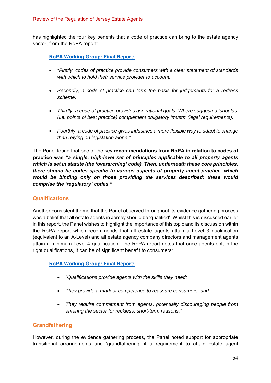has highlighted the four key benefits that a code of practice can bring to the estate agency sector, from the RoPA report:

**RoPA Working Group: Final Report:**

- *"Firstly, codes of practice provide consumers with a clear statement of standards with which to hold their service provider to account.*
- *Secondly, a code of practice can form the basis for judgements for a redress scheme.*
- *Thirdly, a code of practice provides aspirational goals. Where suggested 'shoulds' (i.e. points of best practice) complement obligatory 'musts' (legal requirements).*
- *Fourthly, a code of practice gives industries a more flexible way to adapt to change than relying on legislation alone."*

The Panel found that one of the key **recommendations from RoPA in relation to codes of practice was** *"a single, high-level set of principles applicable to all property agents which is set in statute (the 'overarching' code). Then, underneath these core principles, there should be codes specific to various aspects of property agent practice, which would be binding only on those providing the services described: these would comprise the 'regulatory' codes."* 

## **Qualifications**

Another consistent theme that the Panel observed throughout its evidence gathering process was a belief that all estate agents in Jersey should be 'qualified'. Whilst this is discussed earlier in this report, the Panel wishes to highlight the importance of this topic and its discussion within the RoPA report which recommends that all estate agents attain a Level 3 qualification (equivalent to an A-Level) and all estate agency company directors and management agents attain a minimum Level 4 qualification. The RoPA report notes that once agents obtain the right qualifications, it can be of significant benefit to consumers:

**RoPA Working Group: Final Report:**

- *"Qualifications provide agents with the skills they need;*
- *They provide a mark of competence to reassure consumers; and*
- *They require commitment from agents, potentially discouraging people from entering the sector for reckless, short-term reasons."*

## **Grandfathering**

However, during the evidence gathering process, the Panel noted support for appropriate transitional arrangements and 'grandfathering' if a requirement to attain estate agent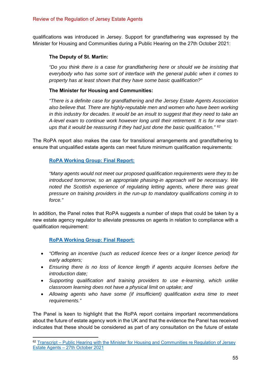qualifications was introduced in Jersey. Support for grandfathering was expressed by the Minister for Housing and Communities during a Public Hearing on the 27th October 2021:

### **The Deputy of St. Martin:**

*"Do you think there is a case for grandfathering here or should we be insisting that everybody who has some sort of interface with the general public when it comes to property has at least shown that they have some basic qualification?"* 

#### **The Minister for Housing and Communities:**

*"There is a definite case for grandfathering and the Jersey Estate Agents Association also believe that. There are highly-reputable men and women who have been working in this industry for decades. It would be an insult to suggest that they need to take an A-level exam to continue work however long until their retirement. It is for new startups that it would be reassuring if they had just done the basic qualification." 62*

The RoPA report also makes the case for transitional arrangements and grandfathering to ensure that unqualified estate agents can meet future minimum qualification requirements:

#### **RoPA Working Group: Final Report:**

*"Many agents would not meet our proposed qualification requirements were they to be introduced tomorrow, so an appropriate phasing-in approach will be necessary. We noted the Scottish experience of regulating letting agents, where there was great pressure on training providers in the run-up to mandatory qualifications coming in to force."* 

In addition, the Panel notes that RoPA suggests a number of steps that could be taken by a new estate agency regulator to alleviate pressures on agents in relation to compliance with a qualification requirement:

**RoPA Working Group: Final Report:**

- *"Offering an incentive (such as reduced licence fees or a longer licence period) for early adopters;*
- *Ensuring there is no loss of licence length if agents acquire licenses before the introduction date;*
- *Supporting qualification and training providers to use e-learning, which unlike classroom learning does not have a physical limit on uptake; and*
- *Allowing agents who have some (if insufficient) qualification extra time to meet requirements."*

The Panel is keen to highlight that the RoPA report contains important recommendations about the future of estate agency work in the UK and that the evidence the Panel has received indicates that these should be considered as part of any consultation on the future of estate

<sup>62</sup> Transcript – Public Hearing with the Minister for Housing and Communities re Regulation of Jersey Estate Agents – 27th October 2021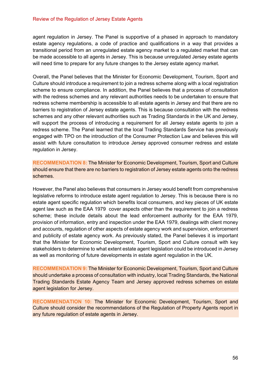agent regulation in Jersey. The Panel is supportive of a phased in approach to mandatory estate agency regulations, a code of practice and qualifications in a way that provides a transitional period from an unregulated estate agency market to a regulated market that can be made accessible to all agents in Jersey. This is because unregulated Jersey estate agents will need time to prepare for any future changes to the Jersey estate agency market.

Overall, the Panel believes that the Minister for Economic Development, Tourism, Sport and Culture should introduce a requirement to join a redress scheme along with a local registration scheme to ensure compliance. In addition, the Panel believes that a process of consultation with the redress schemes and any relevant authorities needs to be undertaken to ensure that redress scheme membership is accessible to all estate agents in Jersey and that there are no barriers to registration of Jersey estate agents. This is because consultation with the redress schemes and any other relevant authorities such as Trading Standards in the UK and Jersey, will support the process of introducing a requirement for all Jersey estate agents to join a redress scheme. The Panel learned that the local Trading Standards Service has previously engaged with TPO on the introduction of the Consumer Protection Law and believes this will assist with future consultation to introduce Jersey approved consumer redress and estate regulation in Jersey.

**RECOMMENDATION 8:** The Minister for Economic Development, Tourism, Sport and Culture should ensure that there are no barriers to registration of Jersey estate agents onto the redress schemes.

However, the Panel also believes that consumers in Jersey would benefit from comprehensive legislative reforms to introduce estate agent regulation to Jersey. This is because there is no estate agent specific regulation which benefits local consumers, and key pieces of UK estate agent law such as the EAA 1979 cover aspects other than the requirement to join a redress scheme; these include details about the lead enforcement authority for the EAA 1979, provision of information, entry and inspection under the EAA 1979, dealings with client money and accounts, regulation of other aspects of estate agency work and supervision, enforcement and publicity of estate agency work. As previously stated, the Panel believes it is important that the Minister for Economic Development, Tourism, Sport and Culture consult with key stakeholders to determine to what extent estate agent legislation could be introduced in Jersey as well as monitoring of future developments in estate agent regulation in the UK.

**RECOMMENDATION 9:** The Minister for Economic Development, Tourism, Sport and Culture should undertake a process of consultation with industry, local Trading Standards, the National Trading Standards Estate Agency Team and Jersey approved redress schemes on estate agent legislation for Jersey.

**RECOMMENDATION 10:** The Minister for Economic Development, Tourism, Sport and Culture should consider the recommendations of the Regulation of Property Agents report in any future regulation of estate agents in Jersey.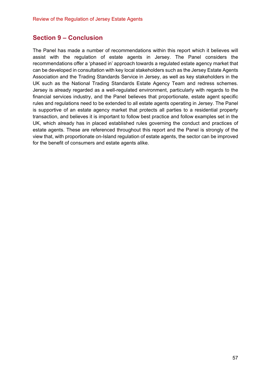## **Section 9 – Conclusion**

The Panel has made a number of recommendations within this report which it believes will assist with the regulation of estate agents in Jersey. The Panel considers the recommendations offer a 'phased in' approach towards a regulated estate agency market that can be developed in consultation with key local stakeholders such as the Jersey Estate Agents Association and the Trading Standards Service in Jersey, as well as key stakeholders in the UK such as the National Trading Standards Estate Agency Team and redress schemes. Jersey is already regarded as a well-regulated environment, particularly with regards to the financial services industry, and the Panel believes that proportionate, estate agent specific rules and regulations need to be extended to all estate agents operating in Jersey. The Panel is supportive of an estate agency market that protects all parties to a residential property transaction, and believes it is important to follow best practice and follow examples set in the UK, which already has in placed established rules governing the conduct and practices of estate agents. These are referenced throughout this report and the Panel is strongly of the view that, with proportionate on-Island regulation of estate agents, the sector can be improved for the benefit of consumers and estate agents alike.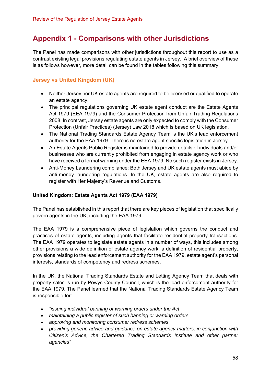# **Appendix 1 - Comparisons with other Jurisdictions**

The Panel has made comparisons with other jurisdictions throughout this report to use as a contrast existing legal provisions regulating estate agents in Jersey. A brief overview of these is as follows however, more detail can be found in the tables following this summary.

## **Jersey vs United Kingdom (UK)**

- Neither Jersey nor UK estate agents are required to be licensed or qualified to operate an estate agency.
- The principal regulations governing UK estate agent conduct are the Estate Agents Act 1979 (EEA 1979) and the Consumer Protection from Unfair Trading Regulations 2008. In contrast, Jersey estate agents are only expected to comply with the Consumer Protection (Unfair Practices) (Jersey) Law 2018 which is based on UK legislation.
- The National Trading Standards Estate Agency Team is the UK's lead enforcement authority for the EAA 1979. There is no estate agent specific legislation in Jersey.
- An Estate Agents Public Register is maintained to provide details of individuals and/or businesses who are currently prohibited from engaging in estate agency work or who have received a formal warning under the EEA 1979. No such register exists in Jersey.
- Anti-Money Laundering compliance: Both Jersey and UK estate agents must abide by anti-money laundering regulations. In the UK, estate agents are also required to register with Her Majesty's Revenue and Customs.

## **United Kingdom: Estate Agents Act 1979 (EAA 1979)**

The Panel has established in this report that there are key pieces of legislation that specifically govern agents in the UK, including the EAA 1979.

The EAA 1979 is a comprehensive piece of legislation which governs the conduct and practices of estate agents, including agents that facilitate residential property transactions. The EAA 1979 operates to legislate estate agents in a number of ways, this includes among other provisions a wide definition of estate agency work, a definition of residential property, provisions relating to the lead enforcement authority for the EAA 1979, estate agent's personal interests, standards of competency and redress schemes.

In the UK, the National Trading Standards Estate and Letting Agency Team that deals with property sales is run by Powys County Council, which is the lead enforcement authority for the EAA 1979. The Panel learned that the National Trading Standards Estate Agency Team is responsible for:

- *"issuing individual banning or warning orders under the Act*
- *maintaining a public register of such banning or warning orders*
- *approving and monitoring consumer redress schemes*
- *providing generic advice and guidance on estate agency matters, in conjunction with Citizen's Advice, the Chartered Trading Standards Institute and other partner agencies"*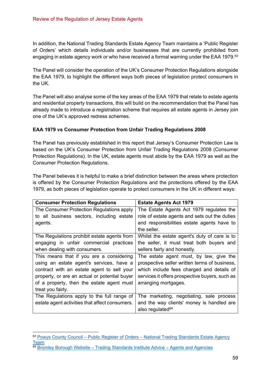In addition, the National Trading Standards Estate Agency Team maintains a 'Public Register of Orders' which details individuals and/or businesses that are currently prohibited from engaging in estate agency work or who have received a formal warning under the EAA 1979.<sup>63</sup>

The Panel will consider the operation of the UK's Consumer Protection Regulations alongside the EAA 1979, to highlight the different ways both pieces of legislation protect consumers in the UK.

The Panel will also analyse some of the key areas of the EAA 1979 that relate to estate agents and residential property transactions, this will build on the recommendation that the Panel has already made to introduce a registration scheme that requires all estate agents in Jersey join one of the UK's approved redress schemes.

## **EAA 1979 vs Consumer Protection from Unfair Trading Regulations 2008**

The Panel has previously established in this report that Jersey's Consumer Protection Law is based on the UK's Consumer Protection from Unfair Trading Regulations 2008 (Consumer Protection Regulations). In the UK, estate agents must abide by the EAA 1979 as well as the Consumer Protection Regulations.

The Panel believes it is helpful to make a brief distinction between the areas where protection is offered by the Consumer Protection Regulations and the protections offered by the EAA 1979, as both pieces of legislation operate to protect consumers in the UK in different ways:

| <b>Consumer Protection Regulations</b>         | <b>Estate Agents Act 1979</b>                  |
|------------------------------------------------|------------------------------------------------|
| The Consumer Protection Regulations apply      | The Estate Agents Act 1979 regulates the       |
| to all business sectors, including estate      | role of estate agents and sets out the duties  |
| agents.                                        | and responsibilities estate agents have to     |
|                                                | the seller.                                    |
| The Regulations prohibit estate agents from    | Whilst the estate agent's duty of care is to   |
| engaging in unfair commercial practices        | the seller, it must treat both buyers and      |
| when dealing with consumers.                   | sellers fairly and honestly.                   |
| This means that if you are a considering       | The estate agent must, by law, give the        |
| using an estate agent's services, have a       | prospective seller written terms of business,  |
| contract with an estate agent to sell your     | which include fees charged and details of      |
| property, or are an actual or potential buyer  | services it offers prospective buyers, such as |
| of a property, then the estate agent must      | arranging mortgages.                           |
| treat you fairly.                              |                                                |
| The Regulations apply to the full range of     | The marketing, negotiating, sale process       |
| estate agent activities that affect consumers. | and the way clients' money is handled are      |
|                                                | also regulated <sup>64</sup>                   |

<sup>&</sup>lt;sup>63</sup> Powys County Council – Public Register of Orders – National Trading Standards Estate Agency Team

 $64$  Bromley Borough Website – Trading Standards Institute Advice – Agents and Agencies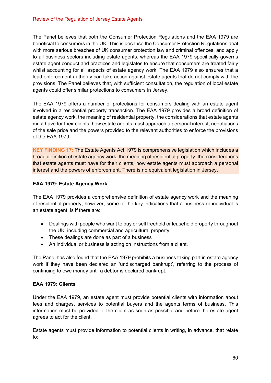The Panel believes that both the Consumer Protection Regulations and the EAA 1979 are beneficial to consumers in the UK. This is because the Consumer Protection Regulations deal with more serious breaches of UK consumer protection law and criminal offences, and apply to all business sectors including estate agents, whereas the EAA 1979 specifically governs estate agent conduct and practices and legislates to ensure that consumers are treated fairly whilst accounting for all aspects of estate agency work. The EAA 1979 also ensures that a lead enforcement authority can take action against estate agents that do not comply with the provisions. The Panel believes that, with sufficient consultation, the regulation of local estate agents could offer similar protections to consumers in Jersey.

The EAA 1979 offers a number of protections for consumers dealing with an estate agent involved in a residential property transaction. The EAA 1979 provides a broad definition of estate agency work, the meaning of residential property, the considerations that estate agents must have for their clients, how estate agents must approach a personal interest, negotiations of the sale price and the powers provided to the relevant authorities to enforce the provisions of the EAA 1979.

**KEY FINDING 17:** The Estate Agents Act 1979 is comprehensive legislation which includes a broad definition of estate agency work, the meaning of residential property, the considerations that estate agents must have for their clients, how estate agents must approach a personal interest and the powers of enforcement. There is no equivalent legislation in Jersey.

## **EAA 1979: Estate Agency Work**

The EAA 1979 provides a comprehensive definition of estate agency work and the meaning of residential property, however, some of the key indications that a business or individual is an estate agent, is if there are:

- Dealings with people who want to buy or sell freehold or leasehold property throughout the UK, including commercial and agricultural property.
- These dealings are done as part of a business
- An individual or business is acting on instructions from a client.

The Panel has also found that the EAA 1979 prohibits a business taking part in estate agency work if they have been declared an 'undischarged bankrupt', referring to the process of continuing to owe money until a debtor is declared bankrupt.

## **EAA 1979: Clients**

Under the EAA 1979, an estate agent must provide potential clients with information about fees and charges, services to potential buyers and the agents terms of business. This information must be provided to the client as soon as possible and before the estate agent agrees to act for the client.

Estate agents must provide information to potential clients in writing, in advance, that relate to: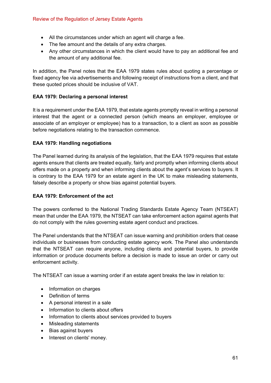- All the circumstances under which an agent will charge a fee.
- The fee amount and the details of any extra charges.
- Any other circumstances in which the client would have to pay an additional fee and the amount of any additional fee.

In addition, the Panel notes that the EAA 1979 states rules about quoting a percentage or fixed agency fee via advertisements and following receipt of instructions from a client, and that these quoted prices should be inclusive of VAT.

## **EAA 1979: Declaring a personal interest**

It is a requirement under the EAA 1979, that estate agents promptly reveal in writing a personal interest that the agent or a connected person (which means an employer, employee or associate of an employer or employee) has to a transaction, to a client as soon as possible before negotiations relating to the transaction commence.

#### **EAA 1979: Handling negotiations**

The Panel learned during its analysis of the legislation, that the EAA 1979 requires that estate agents ensure that clients are treated equally, fairly and promptly when informing clients about offers made on a property and when informing clients about the agent's services to buyers. It is contrary to the EAA 1979 for an estate agent in the UK to make misleading statements, falsely describe a property or show bias against potential buyers.

#### **EAA 1979: Enforcement of the act**

The powers conferred to the National Trading Standards Estate Agency Team (NTSEAT) mean that under the EAA 1979, the NTSEAT can take enforcement action against agents that do not comply with the rules governing estate agent conduct and practices.

The Panel understands that the NTSEAT can issue warning and prohibition orders that cease individuals or businesses from conducting estate agency work. The Panel also understands that the NTSEAT can require anyone, including clients and potential buyers, to provide information or produce documents before a decision is made to issue an order or carry out enforcement activity.

The NTSEAT can issue a warning order if an estate agent breaks the law in relation to:

- Information on charges
- Definition of terms
- A personal interest in a sale
- Information to clients about offers
- Information to clients about services provided to buyers
- Misleading statements
- Bias against buyers
- Interest on clients' money.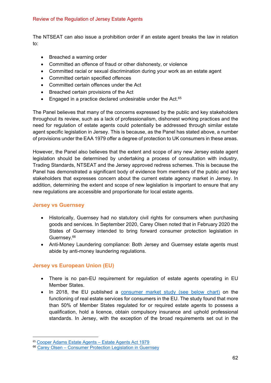The NTSEAT can also issue a prohibition order if an estate agent breaks the law in relation to:

- Breached a warning order
- Committed an offence of fraud or other dishonesty, or violence
- Committed racial or sexual discrimination during your work as an estate agent
- Committed certain specified offences
- Committed certain offences under the Act
- Breached certain provisions of the Act
- $\bullet$  Engaged in a practice declared undesirable under the Act.<sup>65</sup>

The Panel believes that many of the concerns expressed by the public and key stakeholders throughout its review, such as a lack of professionalism, dishonest working practices and the need for regulation of estate agents could potentially be addressed through similar estate agent specific legislation in Jersey. This is because, as the Panel has stated above, a number of provisions under the EAA 1979 offer a degree of protection to UK consumers in these areas.

However, the Panel also believes that the extent and scope of any new Jersey estate agent legislation should be determined by undertaking a process of consultation with industry, Trading Standards, NTSEAT and the Jersey approved redress schemes. This is because the Panel has demonstrated a significant body of evidence from members of the public and key stakeholders that expresses concern about the current estate agency market in Jersey. In addition, determining the extent and scope of new legislation is important to ensure that any new regulations are accessible and proportionate for local estate agents.

## **Jersey vs Guernsey**

- Historically, Guernsey had no statutory civil rights for consumers when purchasing goods and services. In September 2020, Carey Olsen noted that in February 2020 the States of Guernsey intended to bring forward consumer protection legislation in Guernsey.<sup>66</sup>
- Anti-Money Laundering compliance: Both Jersey and Guernsey estate agents must abide by anti-money laundering regulations.

## **Jersey vs European Union (EU)**

- There is no pan-EU requirement for regulation of estate agents operating in EU Member States.
- In 2018, the EU published a consumer market study (see below chart) on the functioning of real estate services for consumers in the EU. The study found that more than 50% of Member States regulated for or required estate agents to possess a qualification, hold a licence, obtain compulsory insurance and uphold professional standards. In Jersey, with the exception of the broad requirements set out in the

<sup>65</sup> Cooper Adams Estate Agents – Estate Agents Act 1979

<sup>66</sup> Carey Olsen - Consumer Protection Legislation in Guernsey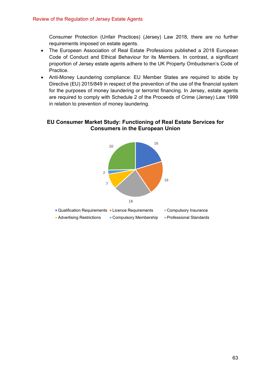Consumer Protection (Unfair Practices) (Jersey) Law 2018, there are no further requirements imposed on estate agents.

- The European Association of Real Estate Professions published a 2018 European Code of Conduct and Ethical Behaviour for its Members. In contrast, a significant proportion of Jersey estate agents adhere to the UK Property Ombudsmen's Code of Practice.
- Anti-Money Laundering compliance: EU Member States are required to abide by Directive (EU) 2015/849 in respect of the prevention of the use of the financial system for the purposes of money laundering or terrorist financing. In Jersey, estate agents are required to comply with Schedule 2 of the Proceeds of Crime (Jersey) Law 1999 in relation to prevention of money laundering.

## **EU Consumer Market Study: Functioning of Real Estate Services for Consumers in the European Union**

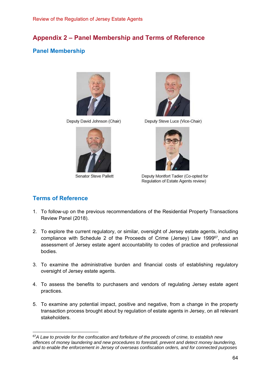# **Appendix 2 – Panel Membership and Terms of Reference**

## **Panel Membership**



Deputy David Johnson (Chair)



Senator Steve Pallett



Deputy Steve Luce (Vice-Chair)



Deputy Montfort Tadier (Co-opted for Regulation of Estate Agents review)

## **Terms of Reference**

- 1. To follow-up on the previous recommendations of the Residential Property Transactions Review Panel (2018).
- 2. To explore the current regulatory, or similar, oversight of Jersey estate agents, including compliance with Schedule 2 of the Proceeds of Crime (Jersey) Law 199967, and an assessment of Jersey estate agent accountability to codes of practice and professional bodies.
- 3. To examine the administrative burden and financial costs of establishing regulatory oversight of Jersey estate agents.
- 4. To assess the benefits to purchasers and vendors of regulating Jersey estate agent practices.
- 5. To examine any potential impact, positive and negative, from a change in the property transaction process brought about by regulation of estate agents in Jersey, on all relevant stakeholders.

<sup>67</sup>*A Law to provide for the confiscation and forfeiture of the proceeds of crime, to establish new offences of money laundering and new procedures to forestall, prevent and detect money laundering, and to enable the enforcement in Jersey of overseas confiscation orders, and for connected purposes*